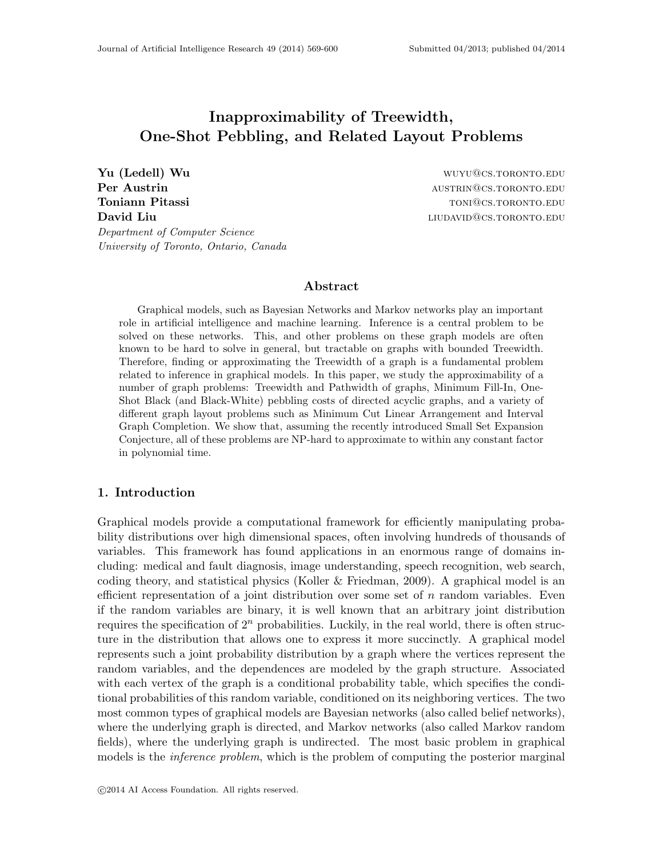# Inapproximability of Treewidth, One-Shot Pebbling, and Related Layout Problems

Yu (Ledell) Wu wuyu@cs.toronto.edu **Per Austrin austrin austrin austrin austrin austrin austrin austrin austrin austrin austrin austrin austrin au** Toniann Pitassi toniann et al. education and the contract of the contract of the contract of the contract of the contract of the contract of the contract of the contract of the contract of the contract of the contract of t David Liu liudavid and the contract of the contract of the contract of the contract of the contract of the contract of the contract of the contract of the contract of the contract of the contract of the contract of the con Department of Computer Science University of Toronto, Ontario, Canada

## Abstract

Graphical models, such as Bayesian Networks and Markov networks play an important role in artificial intelligence and machine learning. Inference is a central problem to be solved on these networks. This, and other problems on these graph models are often known to be hard to solve in general, but tractable on graphs with bounded Treewidth. Therefore, finding or approximating the Treewidth of a graph is a fundamental problem related to inference in graphical models. In this paper, we study the approximability of a number of graph problems: Treewidth and Pathwidth of graphs, Minimum Fill-In, One-Shot Black (and Black-White) pebbling costs of directed acyclic graphs, and a variety of different graph layout problems such as Minimum Cut Linear Arrangement and Interval Graph Completion. We show that, assuming the recently introduced Small Set Expansion Conjecture, all of these problems are NP-hard to approximate to within any constant factor in polynomial time.

## 1. Introduction

Graphical models provide a computational framework for efficiently manipulating probability distributions over high dimensional spaces, often involving hundreds of thousands of variables. This framework has found applications in an enormous range of domains including: medical and fault diagnosis, image understanding, speech recognition, web search, coding theory, and statistical physics (Koller & Friedman, 2009). A graphical model is an efficient representation of a joint distribution over some set of  $n$  random variables. Even if the random variables are binary, it is well known that an arbitrary joint distribution requires the specification of  $2<sup>n</sup>$  probabilities. Luckily, in the real world, there is often structure in the distribution that allows one to express it more succinctly. A graphical model represents such a joint probability distribution by a graph where the vertices represent the random variables, and the dependences are modeled by the graph structure. Associated with each vertex of the graph is a conditional probability table, which specifies the conditional probabilities of this random variable, conditioned on its neighboring vertices. The two most common types of graphical models are Bayesian networks (also called belief networks), where the underlying graph is directed, and Markov networks (also called Markov random fields), where the underlying graph is undirected. The most basic problem in graphical models is the *inference problem*, which is the problem of computing the posterior marginal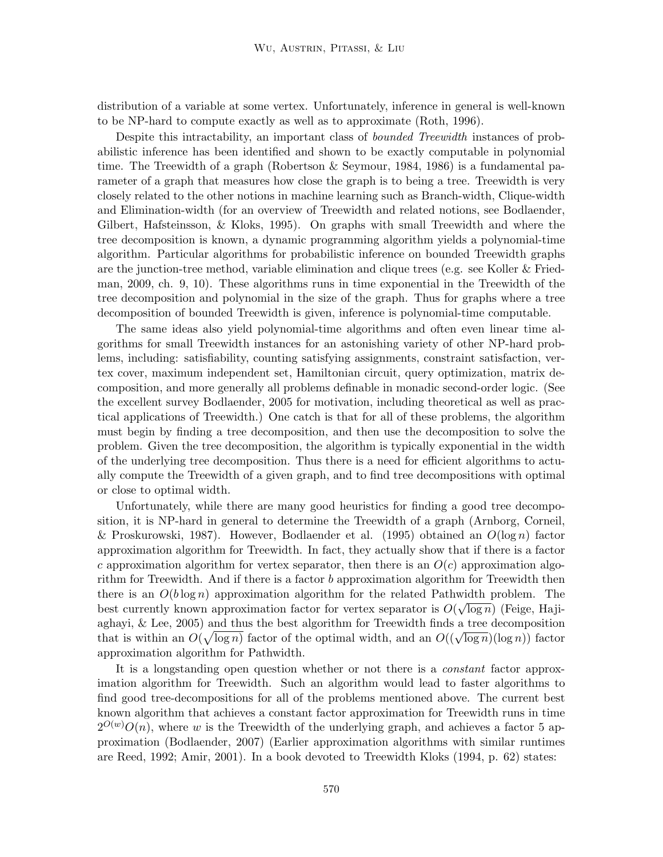distribution of a variable at some vertex. Unfortunately, inference in general is well-known to be NP-hard to compute exactly as well as to approximate (Roth, 1996).

Despite this intractability, an important class of bounded Treewidth instances of probabilistic inference has been identified and shown to be exactly computable in polynomial time. The Treewidth of a graph (Robertson & Seymour, 1984, 1986) is a fundamental parameter of a graph that measures how close the graph is to being a tree. Treewidth is very closely related to the other notions in machine learning such as Branch-width, Clique-width and Elimination-width (for an overview of Treewidth and related notions, see Bodlaender, Gilbert, Hafsteinsson, & Kloks, 1995). On graphs with small Treewidth and where the tree decomposition is known, a dynamic programming algorithm yields a polynomial-time algorithm. Particular algorithms for probabilistic inference on bounded Treewidth graphs are the junction-tree method, variable elimination and clique trees (e.g. see Koller & Friedman, 2009, ch. 9, 10). These algorithms runs in time exponential in the Treewidth of the tree decomposition and polynomial in the size of the graph. Thus for graphs where a tree decomposition of bounded Treewidth is given, inference is polynomial-time computable.

The same ideas also yield polynomial-time algorithms and often even linear time algorithms for small Treewidth instances for an astonishing variety of other NP-hard problems, including: satisfiability, counting satisfying assignments, constraint satisfaction, vertex cover, maximum independent set, Hamiltonian circuit, query optimization, matrix decomposition, and more generally all problems definable in monadic second-order logic. (See the excellent survey Bodlaender, 2005 for motivation, including theoretical as well as practical applications of Treewidth.) One catch is that for all of these problems, the algorithm must begin by finding a tree decomposition, and then use the decomposition to solve the problem. Given the tree decomposition, the algorithm is typically exponential in the width of the underlying tree decomposition. Thus there is a need for efficient algorithms to actually compute the Treewidth of a given graph, and to find tree decompositions with optimal or close to optimal width.

Unfortunately, while there are many good heuristics for finding a good tree decomposition, it is NP-hard in general to determine the Treewidth of a graph (Arnborg, Corneil, & Proskurowski, 1987). However, Bodlaender et al. (1995) obtained an  $O(\log n)$  factor approximation algorithm for Treewidth. In fact, they actually show that if there is a factor c approximation algorithm for vertex separator, then there is an  $O(c)$  approximation algorithm for Treewidth. And if there is a factor b approximation algorithm for Treewidth then there is an  $O(b \log n)$  approximation algorithm for the related Pathwidth problem. The best currently known approximation factor for vertex separator is  $O(\sqrt{\log n})$  (Feige, Hajiaghayi, & Lee, 2005) and thus the best algorithm for Treewidth finds a tree decomposition agnayi,  $\alpha$  Lee, 2005) and thus the best algorithm for Treewidth finds a tree decomposition<br>that is within an  $O(\sqrt{\log n})$  factor of the optimal width, and an  $O((\sqrt{\log n})(\log n))$  factor approximation algorithm for Pathwidth.

It is a longstanding open question whether or not there is a constant factor approximation algorithm for Treewidth. Such an algorithm would lead to faster algorithms to find good tree-decompositions for all of the problems mentioned above. The current best known algorithm that achieves a constant factor approximation for Treewidth runs in time  $2^{O(w)}O(n)$ , where w is the Treewidth of the underlying graph, and achieves a factor 5 approximation (Bodlaender, 2007) (Earlier approximation algorithms with similar runtimes are Reed, 1992; Amir, 2001). In a book devoted to Treewidth Kloks (1994, p. 62) states: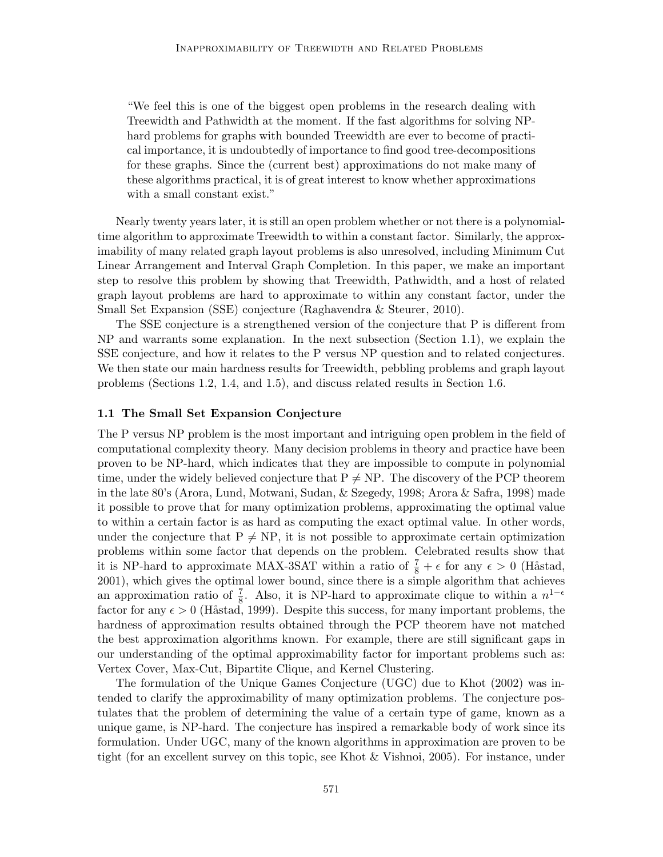"We feel this is one of the biggest open problems in the research dealing with Treewidth and Pathwidth at the moment. If the fast algorithms for solving NPhard problems for graphs with bounded Treewidth are ever to become of practical importance, it is undoubtedly of importance to find good tree-decompositions for these graphs. Since the (current best) approximations do not make many of these algorithms practical, it is of great interest to know whether approximations with a small constant exist."

Nearly twenty years later, it is still an open problem whether or not there is a polynomialtime algorithm to approximate Treewidth to within a constant factor. Similarly, the approximability of many related graph layout problems is also unresolved, including Minimum Cut Linear Arrangement and Interval Graph Completion. In this paper, we make an important step to resolve this problem by showing that Treewidth, Pathwidth, and a host of related graph layout problems are hard to approximate to within any constant factor, under the Small Set Expansion (SSE) conjecture (Raghavendra & Steurer, 2010).

The SSE conjecture is a strengthened version of the conjecture that P is different from NP and warrants some explanation. In the next subsection (Section 1.1), we explain the SSE conjecture, and how it relates to the P versus NP question and to related conjectures. We then state our main hardness results for Treewidth, pebbling problems and graph layout problems (Sections 1.2, 1.4, and 1.5), and discuss related results in Section 1.6.

#### 1.1 The Small Set Expansion Conjecture

The P versus NP problem is the most important and intriguing open problem in the field of computational complexity theory. Many decision problems in theory and practice have been proven to be NP-hard, which indicates that they are impossible to compute in polynomial time, under the widely believed conjecture that  $P \neq NP$ . The discovery of the PCP theorem in the late 80's (Arora, Lund, Motwani, Sudan, & Szegedy, 1998; Arora & Safra, 1998) made it possible to prove that for many optimization problems, approximating the optimal value to within a certain factor is as hard as computing the exact optimal value. In other words, under the conjecture that  $P \neq NP$ , it is not possible to approximate certain optimization problems within some factor that depends on the problem. Celebrated results show that it is NP-hard to approximate MAX-3SAT within a ratio of  $\frac{7}{8} + \epsilon$  for any  $\epsilon > 0$  (Håstad, 2001), which gives the optimal lower bound, since there is a simple algorithm that achieves an approximation ratio of  $\frac{7}{8}$ . Also, it is NP-hard to approximate clique to within a  $n^{1-\epsilon}$ factor for any  $\epsilon > 0$  (Håstad, 1999). Despite this success, for many important problems, the hardness of approximation results obtained through the PCP theorem have not matched the best approximation algorithms known. For example, there are still significant gaps in our understanding of the optimal approximability factor for important problems such as: Vertex Cover, Max-Cut, Bipartite Clique, and Kernel Clustering.

The formulation of the Unique Games Conjecture (UGC) due to Khot (2002) was intended to clarify the approximability of many optimization problems. The conjecture postulates that the problem of determining the value of a certain type of game, known as a unique game, is NP-hard. The conjecture has inspired a remarkable body of work since its formulation. Under UGC, many of the known algorithms in approximation are proven to be tight (for an excellent survey on this topic, see Khot & Vishnoi, 2005). For instance, under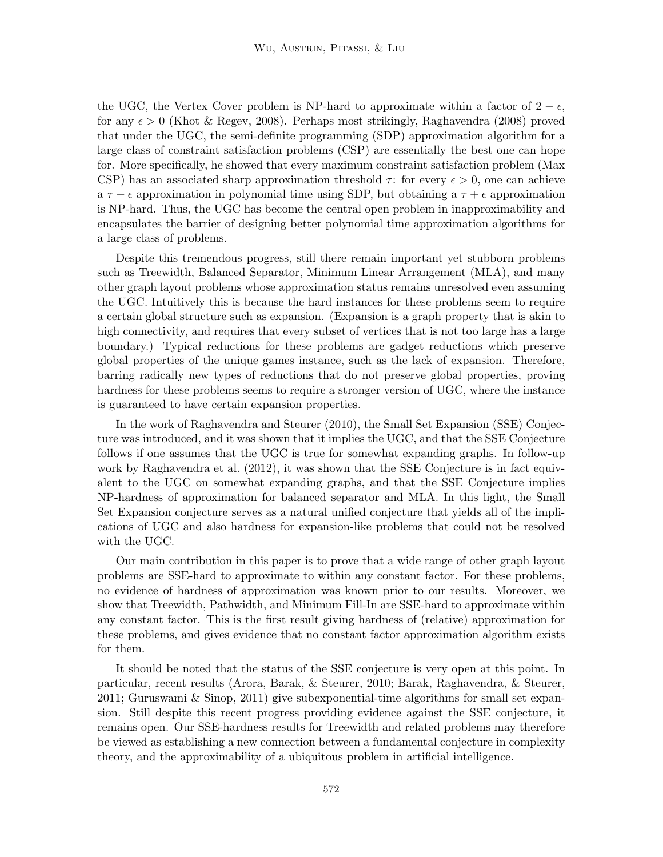the UGC, the Vertex Cover problem is NP-hard to approximate within a factor of  $2 - \epsilon$ , for any  $\epsilon > 0$  (Khot & Regev, 2008). Perhaps most strikingly, Raghavendra (2008) proved that under the UGC, the semi-definite programming (SDP) approximation algorithm for a large class of constraint satisfaction problems (CSP) are essentially the best one can hope for. More specifically, he showed that every maximum constraint satisfaction problem (Max CSP) has an associated sharp approximation threshold  $\tau$ : for every  $\epsilon > 0$ , one can achieve  $a \tau - \epsilon$  approximation in polynomial time using SDP, but obtaining a  $\tau + \epsilon$  approximation is NP-hard. Thus, the UGC has become the central open problem in inapproximability and encapsulates the barrier of designing better polynomial time approximation algorithms for a large class of problems.

Despite this tremendous progress, still there remain important yet stubborn problems such as Treewidth, Balanced Separator, Minimum Linear Arrangement (MLA), and many other graph layout problems whose approximation status remains unresolved even assuming the UGC. Intuitively this is because the hard instances for these problems seem to require a certain global structure such as expansion. (Expansion is a graph property that is akin to high connectivity, and requires that every subset of vertices that is not too large has a large boundary.) Typical reductions for these problems are gadget reductions which preserve global properties of the unique games instance, such as the lack of expansion. Therefore, barring radically new types of reductions that do not preserve global properties, proving hardness for these problems seems to require a stronger version of UGC, where the instance is guaranteed to have certain expansion properties.

In the work of Raghavendra and Steurer (2010), the Small Set Expansion (SSE) Conjecture was introduced, and it was shown that it implies the UGC, and that the SSE Conjecture follows if one assumes that the UGC is true for somewhat expanding graphs. In follow-up work by Raghavendra et al. (2012), it was shown that the SSE Conjecture is in fact equivalent to the UGC on somewhat expanding graphs, and that the SSE Conjecture implies NP-hardness of approximation for balanced separator and MLA. In this light, the Small Set Expansion conjecture serves as a natural unified conjecture that yields all of the implications of UGC and also hardness for expansion-like problems that could not be resolved with the UGC.

Our main contribution in this paper is to prove that a wide range of other graph layout problems are SSE-hard to approximate to within any constant factor. For these problems, no evidence of hardness of approximation was known prior to our results. Moreover, we show that Treewidth, Pathwidth, and Minimum Fill-In are SSE-hard to approximate within any constant factor. This is the first result giving hardness of (relative) approximation for these problems, and gives evidence that no constant factor approximation algorithm exists for them.

It should be noted that the status of the SSE conjecture is very open at this point. In particular, recent results (Arora, Barak, & Steurer, 2010; Barak, Raghavendra, & Steurer, 2011; Guruswami & Sinop, 2011) give subexponential-time algorithms for small set expansion. Still despite this recent progress providing evidence against the SSE conjecture, it remains open. Our SSE-hardness results for Treewidth and related problems may therefore be viewed as establishing a new connection between a fundamental conjecture in complexity theory, and the approximability of a ubiquitous problem in artificial intelligence.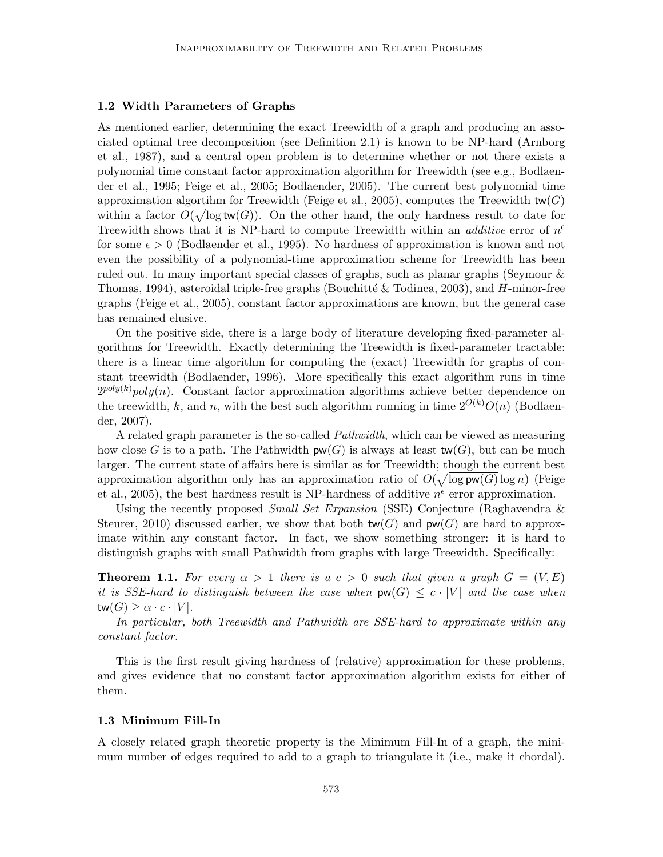#### 1.2 Width Parameters of Graphs

As mentioned earlier, determining the exact Treewidth of a graph and producing an associated optimal tree decomposition (see Definition 2.1) is known to be NP-hard (Arnborg et al., 1987), and a central open problem is to determine whether or not there exists a polynomial time constant factor approximation algorithm for Treewidth (see e.g., Bodlaender et al., 1995; Feige et al., 2005; Bodlaender, 2005). The current best polynomial time approximation algortihm for Treewidth (Feige et al., 2005), computes the Treewidth  $tw(G)$ within a factor  $O(\sqrt{\log \mathsf{tw}(G)})$ . On the other hand, the only hardness result to date for Treewidth shows that it is NP-hard to compute Treewidth within an *additive* error of  $n^{\epsilon}$ for some  $\epsilon > 0$  (Bodlaender et al., 1995). No hardness of approximation is known and not even the possibility of a polynomial-time approximation scheme for Treewidth has been ruled out. In many important special classes of graphs, such as planar graphs (Seymour & Thomas, 1994), asteroidal triple-free graphs (Bouchitté & Todinca, 2003), and H-minor-free graphs (Feige et al., 2005), constant factor approximations are known, but the general case has remained elusive.

On the positive side, there is a large body of literature developing fixed-parameter algorithms for Treewidth. Exactly determining the Treewidth is fixed-parameter tractable: there is a linear time algorithm for computing the (exact) Treewidth for graphs of constant treewidth (Bodlaender, 1996). More specifically this exact algorithm runs in time  $2^{poly(k)}poly(n)$ . Constant factor approximation algorithms achieve better dependence on the treewidth, k, and n, with the best such algorithm running in time  $2^{O(k)}O(n)$  (Bodlaender, 2007).

A related graph parameter is the so-called Pathwidth, which can be viewed as measuring how close G is to a path. The Pathwidth  $\mathsf{pw}(G)$  is always at least  $\mathsf{tw}(G)$ , but can be much larger. The current state of affairs here is similar as for Treewidth; though the current best approximation algorithm only has an approximation ratio of  $O(\sqrt{\log \mathsf{pw}(G)} \log n)$  (Feige et al., 2005), the best hardness result is NP-hardness of additive  $n^{\epsilon}$  error approximation.

Using the recently proposed *Small Set Expansion* (SSE) Conjecture (Raghavendra  $\&$ Steurer, 2010) discussed earlier, we show that both  $tw(G)$  and  $pw(G)$  are hard to approximate within any constant factor. In fact, we show something stronger: it is hard to distinguish graphs with small Pathwidth from graphs with large Treewidth. Specifically:

**Theorem 1.1.** For every  $\alpha > 1$  there is a  $c > 0$  such that given a graph  $G = (V, E)$ it is SSE-hard to distinguish between the case when  $\mathsf{pw}(G) \leq c \cdot |V|$  and the case when  $\mathsf{tw}(G) \geq \alpha \cdot c \cdot |V|.$ 

In particular, both Treewidth and Pathwidth are SSE-hard to approximate within any constant factor.

This is the first result giving hardness of (relative) approximation for these problems, and gives evidence that no constant factor approximation algorithm exists for either of them.

## 1.3 Minimum Fill-In

A closely related graph theoretic property is the Minimum Fill-In of a graph, the minimum number of edges required to add to a graph to triangulate it (i.e., make it chordal).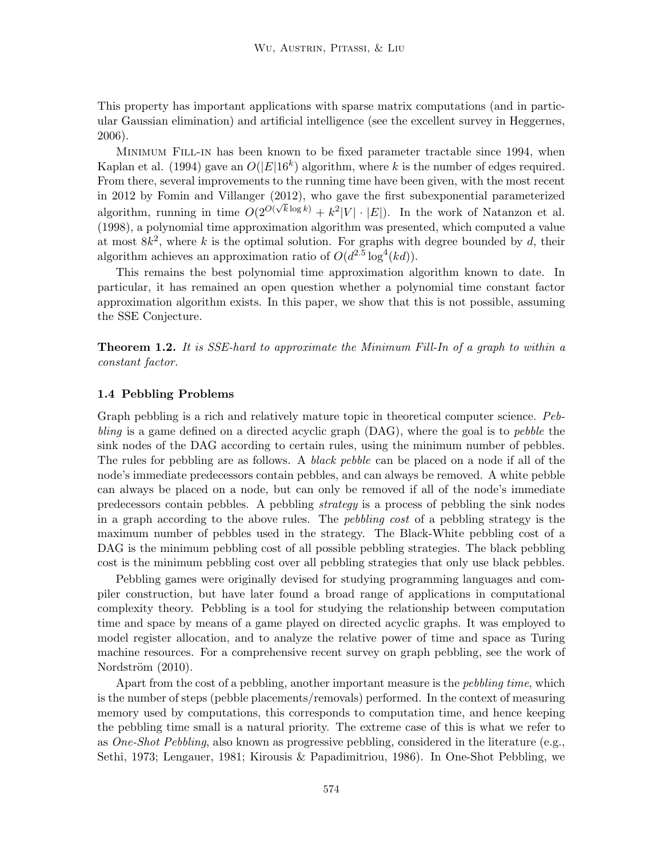This property has important applications with sparse matrix computations (and in particular Gaussian elimination) and artificial intelligence (see the excellent survey in Heggernes, 2006).

Minimum Fill-in has been known to be fixed parameter tractable since 1994, when Kaplan et al. (1994) gave an  $O(|E|16^k)$  algorithm, where k is the number of edges required. From there, several improvements to the running time have been given, with the most recent in 2012 by Fomin and Villanger  $(2012)$ , who gave the first subexponential parameterized algorithm, running in time  $O(2^{O(\sqrt{k}\log k)} + k^2|V| \cdot |E|)$ . In the work of Natanzon et al. (1998), a polynomial time approximation algorithm was presented, which computed a value at most  $8k^2$ , where k is the optimal solution. For graphs with degree bounded by d, their algorithm achieves an approximation ratio of  $O(d^{2.5} \log^4(kd))$ .

This remains the best polynomial time approximation algorithm known to date. In particular, it has remained an open question whether a polynomial time constant factor approximation algorithm exists. In this paper, we show that this is not possible, assuming the SSE Conjecture.

**Theorem 1.2.** It is SSE-hard to approximate the Minimum Fill-In of a graph to within a constant factor.

## 1.4 Pebbling Problems

Graph pebbling is a rich and relatively mature topic in theoretical computer science. Pebbling is a game defined on a directed acyclic graph (DAG), where the goal is to *pebble* the sink nodes of the DAG according to certain rules, using the minimum number of pebbles. The rules for pebbling are as follows. A *black pebble* can be placed on a node if all of the node's immediate predecessors contain pebbles, and can always be removed. A white pebble can always be placed on a node, but can only be removed if all of the node's immediate predecessors contain pebbles. A pebbling strategy is a process of pebbling the sink nodes in a graph according to the above rules. The pebbling cost of a pebbling strategy is the maximum number of pebbles used in the strategy. The Black-White pebbling cost of a DAG is the minimum pebbling cost of all possible pebbling strategies. The black pebbling cost is the minimum pebbling cost over all pebbling strategies that only use black pebbles.

Pebbling games were originally devised for studying programming languages and compiler construction, but have later found a broad range of applications in computational complexity theory. Pebbling is a tool for studying the relationship between computation time and space by means of a game played on directed acyclic graphs. It was employed to model register allocation, and to analyze the relative power of time and space as Turing machine resources. For a comprehensive recent survey on graph pebbling, see the work of Nordström (2010).

Apart from the cost of a pebbling, another important measure is the pebbling time, which is the number of steps (pebble placements/removals) performed. In the context of measuring memory used by computations, this corresponds to computation time, and hence keeping the pebbling time small is a natural priority. The extreme case of this is what we refer to as One-Shot Pebbling, also known as progressive pebbling, considered in the literature (e.g., Sethi, 1973; Lengauer, 1981; Kirousis & Papadimitriou, 1986). In One-Shot Pebbling, we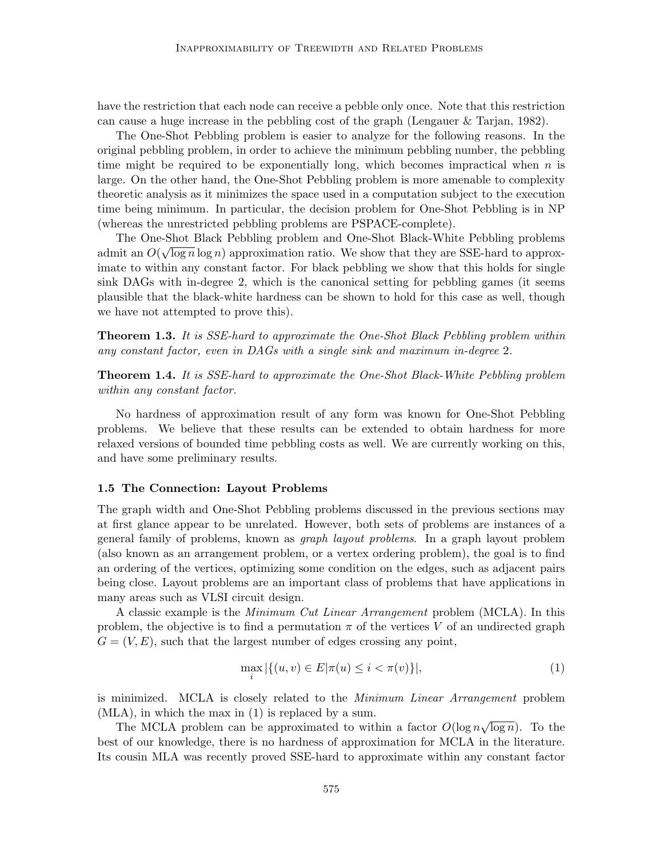have the restriction that each node can receive a pebble only once. Note that this restriction can cause a huge increase in the pebbling cost of the graph (Lengauer  $\&$  Tarjan, 1982).

The One-Shot Pebbling problem is easier to analyze for the following reasons. In the original pebbling problem, in order to achieve the minimum pebbling number, the pebbling time might be required to be exponentially long, which becomes impractical when  $n$  is large. On the other hand, the One-Shot Pebbling problem is more amenable to complexity theoretic analysis as it minimizes the space used in a computation subject to the execution time being minimum. In particular, the decision problem for One-Shot Pebbling is in NP (whereas the unrestricted pebbling problems are PSPACE-complete).

The One-Shot Black Pebbling problem and One-Shot Black-White Pebbling problems admit an  $O(\sqrt{\log n \log n})$  approximation ratio. We show that they are SSE-hard to approximate to within any constant factor. For black pebbling we show that this holds for single sink DAGs with in-degree 2, which is the canonical setting for pebbling games (it seems plausible that the black-white hardness can be shown to hold for this case as well, though we have not attempted to prove this).

**Theorem 1.3.** It is SSE-hard to approximate the One-Shot Black Pebbling problem within any constant factor, even in DAGs with a single sink and maximum in-degree 2.

Theorem 1.4. It is SSE-hard to approximate the One-Shot Black-White Pebbling problem within any constant factor.

No hardness of approximation result of any form was known for One-Shot Pebbling problems. We believe that these results can be extended to obtain hardness for more relaxed versions of bounded time pebbling costs as well. We are currently working on this, and have some preliminary results.

#### 1.5 The Connection: Layout Problems

The graph width and One-Shot Pebbling problems discussed in the previous sections may at first glance appear to be unrelated. However, both sets of problems are instances of a general family of problems, known as graph layout problems. In a graph layout problem (also known as an arrangement problem, or a vertex ordering problem), the goal is to find an ordering of the vertices, optimizing some condition on the edges, such as adjacent pairs being close. Layout problems are an important class of problems that have applications in many areas such as VLSI circuit design.

A classic example is the Minimum Cut Linear Arrangement problem (MCLA). In this problem, the objective is to find a permutation  $\pi$  of the vertices V of an undirected graph  $G = (V, E)$ , such that the largest number of edges crossing any point,

$$
\max_{i} |\{(u, v) \in E | \pi(u) \le i < \pi(v)\}|,\tag{1}
$$

is minimized. MCLA is closely related to the Minimum Linear Arrangement problem (MLA), in which the max in (1) is replaced by a sum. √

The MCLA problem can be approximated to within a factor  $O(\log n)$  $log n$ ). To the best of our knowledge, there is no hardness of approximation for MCLA in the literature. Its cousin MLA was recently proved SSE-hard to approximate within any constant factor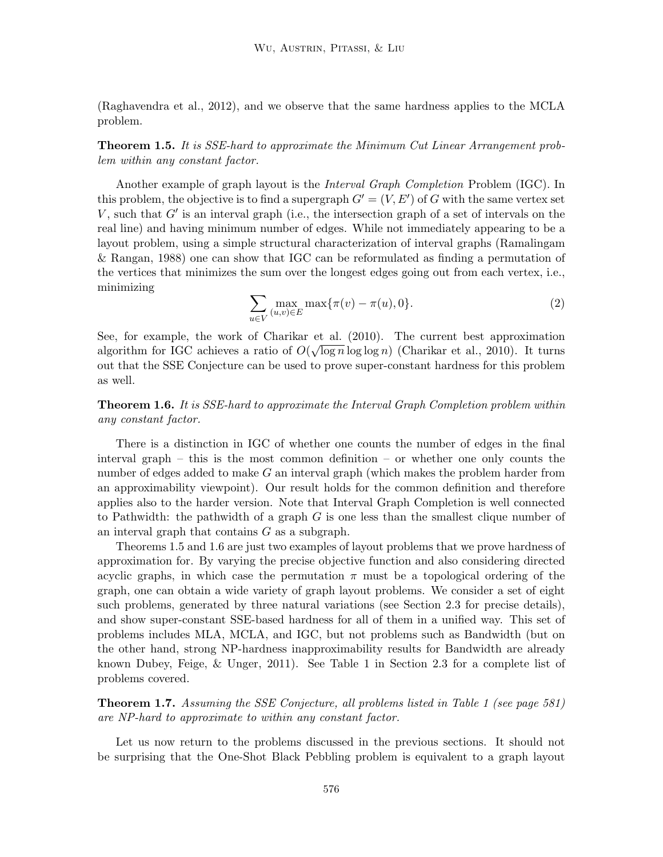(Raghavendra et al., 2012), and we observe that the same hardness applies to the MCLA problem.

Theorem 1.5. It is SSE-hard to approximate the Minimum Cut Linear Arrangement problem within any constant factor.

Another example of graph layout is the Interval Graph Completion Problem (IGC). In this problem, the objective is to find a supergraph  $G' = (V, E')$  of G with the same vertex set  $V$ , such that  $G'$  is an interval graph (i.e., the intersection graph of a set of intervals on the real line) and having minimum number of edges. While not immediately appearing to be a layout problem, using a simple structural characterization of interval graphs (Ramalingam & Rangan, 1988) one can show that IGC can be reformulated as finding a permutation of the vertices that minimizes the sum over the longest edges going out from each vertex, i.e., minimizing

$$
\sum_{u \in V} \max_{(u,v) \in E} \max \{ \pi(v) - \pi(u), 0 \}. \tag{2}
$$

See, for example, the work of Charikar et al. (2010). The current best approximation algorithm for IGC achieves a ratio of  $O(\sqrt{\log n} \log \log n)$  (Charikar et al., 2010). It turns out that the SSE Conjecture can be used to prove super-constant hardness for this problem as well.

Theorem 1.6. It is SSE-hard to approximate the Interval Graph Completion problem within any constant factor.

There is a distinction in IGC of whether one counts the number of edges in the final interval graph – this is the most common definition – or whether one only counts the number of edges added to make G an interval graph (which makes the problem harder from an approximability viewpoint). Our result holds for the common definition and therefore applies also to the harder version. Note that Interval Graph Completion is well connected to Pathwidth: the pathwidth of a graph  $G$  is one less than the smallest clique number of an interval graph that contains G as a subgraph.

Theorems 1.5 and 1.6 are just two examples of layout problems that we prove hardness of approximation for. By varying the precise objective function and also considering directed acyclic graphs, in which case the permutation  $\pi$  must be a topological ordering of the graph, one can obtain a wide variety of graph layout problems. We consider a set of eight such problems, generated by three natural variations (see Section 2.3 for precise details), and show super-constant SSE-based hardness for all of them in a unified way. This set of problems includes MLA, MCLA, and IGC, but not problems such as Bandwidth (but on the other hand, strong NP-hardness inapproximability results for Bandwidth are already known Dubey, Feige, & Unger, 2011). See Table 1 in Section 2.3 for a complete list of problems covered.

Theorem 1.7. Assuming the SSE Conjecture, all problems listed in Table 1 (see page 581) are NP-hard to approximate to within any constant factor.

Let us now return to the problems discussed in the previous sections. It should not be surprising that the One-Shot Black Pebbling problem is equivalent to a graph layout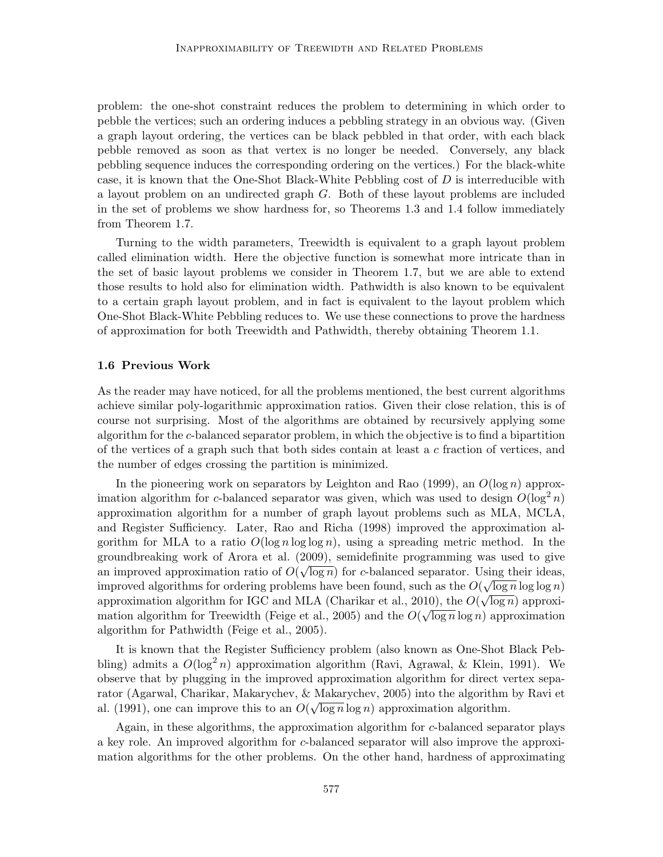problem: the one-shot constraint reduces the problem to determining in which order to pebble the vertices; such an ordering induces a pebbling strategy in an obvious way. (Given a graph layout ordering, the vertices can be black pebbled in that order, with each black pebble removed as soon as that vertex is no longer be needed. Conversely, any black pebbling sequence induces the corresponding ordering on the vertices.) For the black-white case, it is known that the One-Shot Black-White Pebbling cost of  $D$  is interreducible with a layout problem on an undirected graph G. Both of these layout problems are included in the set of problems we show hardness for, so Theorems 1.3 and 1.4 follow immediately from Theorem 1.7.

Turning to the width parameters, Treewidth is equivalent to a graph layout problem called elimination width. Here the objective function is somewhat more intricate than in the set of basic layout problems we consider in Theorem 1.7, but we are able to extend those results to hold also for elimination width. Pathwidth is also known to be equivalent to a certain graph layout problem, and in fact is equivalent to the layout problem which One-Shot Black-White Pebbling reduces to. We use these connections to prove the hardness of approximation for both Treewidth and Pathwidth, thereby obtaining Theorem 1.1.

#### 1.6 Previous Work

As the reader may have noticed, for all the problems mentioned, the best current algorithms achieve similar poly-logarithmic approximation ratios. Given their close relation, this is of course not surprising. Most of the algorithms are obtained by recursively applying some algorithm for the c-balanced separator problem, in which the objective is to find a bipartition of the vertices of a graph such that both sides contain at least a c fraction of vertices, and the number of edges crossing the partition is minimized.

In the pioneering work on separators by Leighton and Rao (1999), an  $O(\log n)$  approximation algorithm for c-balanced separator was given, which was used to design  $O(\log^2 n)$ approximation algorithm for a number of graph layout problems such as MLA, MCLA, and Register Sufficiency. Later, Rao and Richa (1998) improved the approximation algorithm for MLA to a ratio  $O(\log n \log \log n)$ , using a spreading metric method. In the groundbreaking work of Arora et al.  $(2009)$ , semidefinite programming was used to give an improved approximation ratio of  $O(\sqrt{\log n})$  for c-balanced separator. Using their ideas, improved algorithms for ordering problems have been found, such as the  $O(\sqrt{\log n} \log \log n)$ approximation algorithm for IGC and MLA (Charikar et al., 2010), the  $O(\sqrt{\log n})$  approximation algorithm for Treewidth (Feige et al., 2005) and the  $O(\sqrt{\log n} \log n)$  approximation algorithm for Pathwidth (Feige et al., 2005).

It is known that the Register Sufficiency problem (also known as One-Shot Black Pebbling) admits a  $O(\log^2 n)$  approximation algorithm (Ravi, Agrawal, & Klein, 1991). We observe that by plugging in the improved approximation algorithm for direct vertex separator (Agarwal, Charikar, Makarychev, & Makarychev, 2005) into the algorithm by Ravi et √ al. (1991), one can improve this to an  $O(\sqrt{\log n} \log n)$  approximation algorithm.

Again, in these algorithms, the approximation algorithm for c-balanced separator plays a key role. An improved algorithm for c-balanced separator will also improve the approximation algorithms for the other problems. On the other hand, hardness of approximating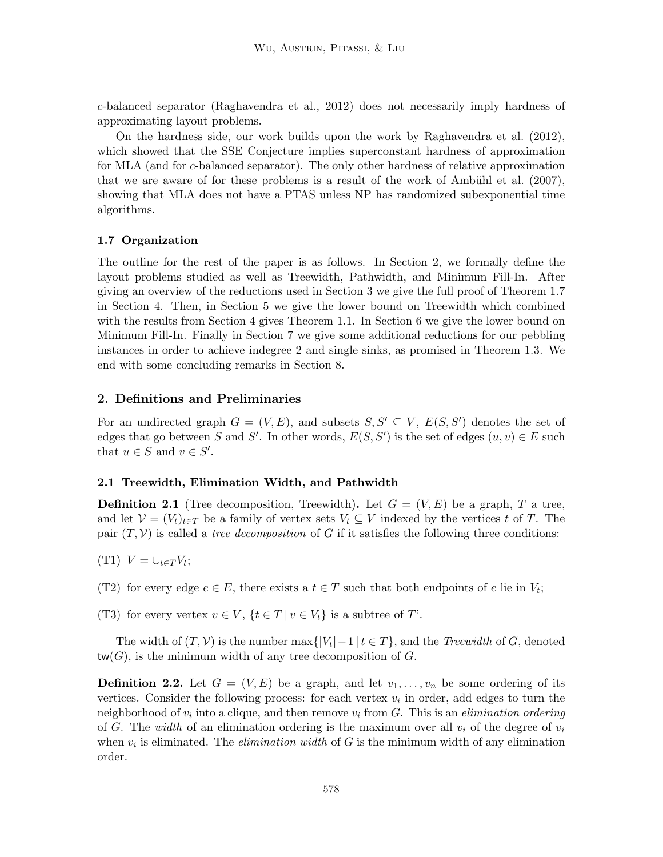c-balanced separator (Raghavendra et al., 2012) does not necessarily imply hardness of approximating layout problems.

On the hardness side, our work builds upon the work by Raghavendra et al. (2012), which showed that the SSE Conjecture implies superconstant hardness of approximation for MLA (and for c-balanced separator). The only other hardness of relative approximation that we are aware of for these problems is a result of the work of Ambühl et al.  $(2007)$ , showing that MLA does not have a PTAS unless NP has randomized subexponential time algorithms.

## 1.7 Organization

The outline for the rest of the paper is as follows. In Section 2, we formally define the layout problems studied as well as Treewidth, Pathwidth, and Minimum Fill-In. After giving an overview of the reductions used in Section 3 we give the full proof of Theorem 1.7 in Section 4. Then, in Section 5 we give the lower bound on Treewidth which combined with the results from Section 4 gives Theorem 1.1. In Section 6 we give the lower bound on Minimum Fill-In. Finally in Section 7 we give some additional reductions for our pebbling instances in order to achieve indegree 2 and single sinks, as promised in Theorem 1.3. We end with some concluding remarks in Section 8.

# 2. Definitions and Preliminaries

For an undirected graph  $G = (V, E)$ , and subsets  $S, S' \subseteq V$ ,  $E(S, S')$  denotes the set of edges that go between S and S'. In other words,  $E(S, S')$  is the set of edges  $(u, v) \in E$  such that  $u \in S$  and  $v \in S'$ .

## 2.1 Treewidth, Elimination Width, and Pathwidth

**Definition 2.1** (Tree decomposition, Treewidth). Let  $G = (V, E)$  be a graph, T a tree, and let  $\mathcal{V} = (V_t)_{t \in \mathcal{T}}$  be a family of vertex sets  $V_t \subseteq V$  indexed by the vertices t of T. The pair  $(T, V)$  is called a *tree decomposition* of G if it satisfies the following three conditions:

- (T1)  $V = \bigcup_{t \in T} V_t;$
- (T2) for every edge  $e \in E$ , there exists a  $t \in T$  such that both endpoints of e lie in  $V_t$ ;
- (T3) for every vertex  $v \in V$ ,  $\{t \in T \mid v \in V_t\}$  is a subtree of T'.

The width of  $(T, V)$  is the number  $\max\{|V_t| - 1 \mid t \in T\}$ , and the *Treewidth* of G, denoted  $tw(G)$ , is the minimum width of any tree decomposition of G.

**Definition 2.2.** Let  $G = (V, E)$  be a graph, and let  $v_1, \ldots, v_n$  be some ordering of its vertices. Consider the following process: for each vertex  $v_i$  in order, add edges to turn the neighborhood of  $v_i$  into a clique, and then remove  $v_i$  from  $G$ . This is an *elimination ordering* of G. The width of an elimination ordering is the maximum over all  $v_i$  of the degree of  $v_i$ when  $v_i$  is eliminated. The *elimination width* of  $G$  is the minimum width of any elimination order.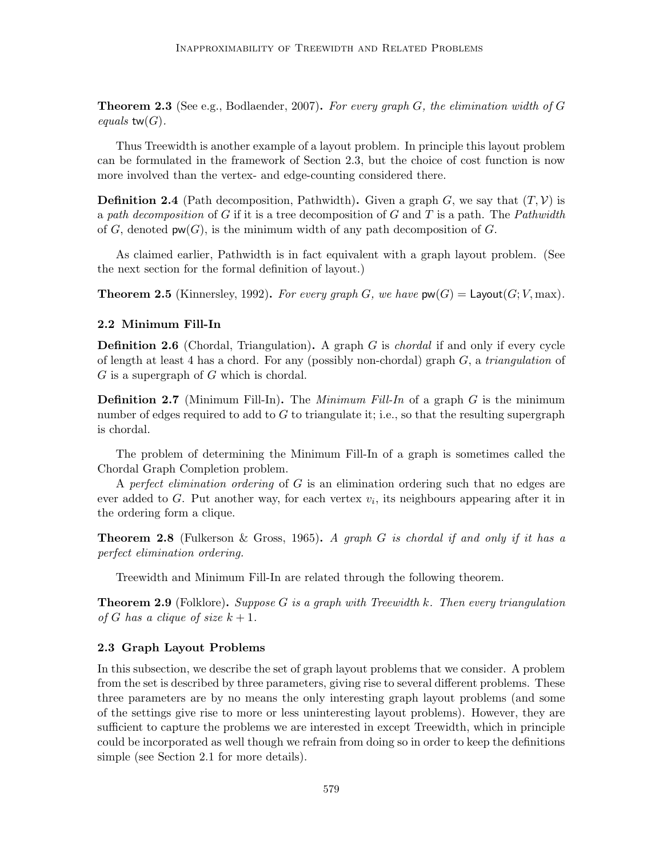**Theorem 2.3** (See e.g., Bodlaender, 2007). For every graph  $G$ , the elimination width of  $G$ equals  $tw(G)$ .

Thus Treewidth is another example of a layout problem. In principle this layout problem can be formulated in the framework of Section 2.3, but the choice of cost function is now more involved than the vertex- and edge-counting considered there.

**Definition 2.4** (Path decomposition, Pathwidth). Given a graph G, we say that  $(T, V)$  is a path decomposition of G if it is a tree decomposition of G and T is a path. The Pathwidth of G, denoted  $\mathsf{pw}(G)$ , is the minimum width of any path decomposition of G.

As claimed earlier, Pathwidth is in fact equivalent with a graph layout problem. (See the next section for the formal definition of layout.)

**Theorem 2.5** (Kinnersley, 1992). For every graph G, we have  $\mathsf{pw}(G) = \mathsf{Lawout}(G; V, \max)$ .

#### 2.2 Minimum Fill-In

**Definition 2.6** (Chordal, Triangulation). A graph G is *chordal* if and only if every cycle of length at least 4 has a chord. For any (possibly non-chordal) graph  $G$ , a *triangulation* of  $G$  is a supergraph of  $G$  which is chordal.

**Definition 2.7** (Minimum Fill-In). The *Minimum Fill-In* of a graph  $G$  is the minimum number of edges required to add to  $G$  to triangulate it; i.e., so that the resulting supergraph is chordal.

The problem of determining the Minimum Fill-In of a graph is sometimes called the Chordal Graph Completion problem.

A perfect elimination ordering of  $G$  is an elimination ordering such that no edges are ever added to  $G$ . Put another way, for each vertex  $v_i$ , its neighbours appearing after it in the ordering form a clique.

**Theorem 2.8** (Fulkerson & Gross, 1965). A graph G is chordal if and only if it has a perfect elimination ordering.

Treewidth and Minimum Fill-In are related through the following theorem.

**Theorem 2.9** (Folklore). Suppose G is a graph with Treewidth k. Then every triangulation of G has a clique of size  $k + 1$ .

#### 2.3 Graph Layout Problems

In this subsection, we describe the set of graph layout problems that we consider. A problem from the set is described by three parameters, giving rise to several different problems. These three parameters are by no means the only interesting graph layout problems (and some of the settings give rise to more or less uninteresting layout problems). However, they are sufficient to capture the problems we are interested in except Treewidth, which in principle could be incorporated as well though we refrain from doing so in order to keep the definitions simple (see Section 2.1 for more details).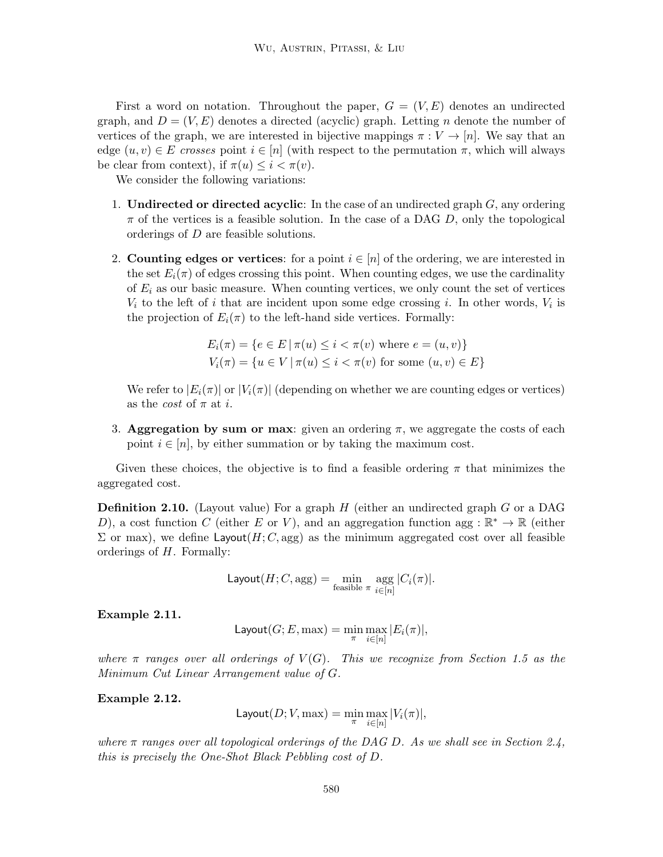First a word on notation. Throughout the paper,  $G = (V, E)$  denotes an undirected graph, and  $D = (V, E)$  denotes a directed (acyclic) graph. Letting n denote the number of vertices of the graph, we are interested in bijective mappings  $\pi: V \to [n]$ . We say that an edge  $(u, v) \in E$  crosses point  $i \in [n]$  (with respect to the permutation  $\pi$ , which will always be clear from context), if  $\pi(u) \leq i < \pi(v)$ .

We consider the following variations:

- 1. Undirected or directed acyclic: In the case of an undirected graph  $G$ , any ordering  $\pi$  of the vertices is a feasible solution. In the case of a DAG D, only the topological orderings of D are feasible solutions.
- 2. Counting edges or vertices: for a point  $i \in [n]$  of the ordering, we are interested in the set  $E_i(\pi)$  of edges crossing this point. When counting edges, we use the cardinality of  $E_i$  as our basic measure. When counting vertices, we only count the set of vertices  $V_i$  to the left of i that are incident upon some edge crossing i. In other words,  $V_i$  is the projection of  $E_i(\pi)$  to the left-hand side vertices. Formally:

$$
E_i(\pi) = \{ e \in E \mid \pi(u) \le i < \pi(v) \text{ where } e = (u, v) \}
$$
\n
$$
V_i(\pi) = \{ u \in V \mid \pi(u) \le i < \pi(v) \text{ for some } (u, v) \in E \}
$$

We refer to  $|E_i(\pi)|$  or  $|V_i(\pi)|$  (depending on whether we are counting edges or vertices) as the *cost* of  $\pi$  at *i*.

3. Aggregation by sum or max: given an ordering  $\pi$ , we aggregate the costs of each point  $i \in [n]$ , by either summation or by taking the maximum cost.

Given these choices, the objective is to find a feasible ordering  $\pi$  that minimizes the aggregated cost.

**Definition 2.10.** (Layout value) For a graph  $H$  (either an undirected graph  $G$  or a DAG D), a cost function C (either E or V), and an aggregation function agg :  $\mathbb{R}^* \to \mathbb{R}$  (either Σ or max), we define Layout  $(H; C, \text{agg})$  as the minimum aggregated cost over all feasible orderings of H. Formally:

$$
\mathsf{Layout}(H; C, \mathrm{agg}) = \min_{\text{feasible } \pi} \operatorname{agg} |C_i(\pi)|.
$$

Example 2.11.

$$
\mathsf{Layout}(G; E, \max) = \min_{\pi} \max_{i \in [n]} |E_i(\pi)|,
$$

where  $\pi$  ranges over all orderings of  $V(G)$ . This we recognize from Section 1.5 as the Minimum Cut Linear Arrangement value of G.

Example 2.12.

$$
\mathsf{Layout}(D; V, \max) = \min_{\pi} \max_{i \in [n]} |V_i(\pi)|,
$$

where  $\pi$  ranges over all topological orderings of the DAG D. As we shall see in Section 2.4, this is precisely the One-Shot Black Pebbling cost of D.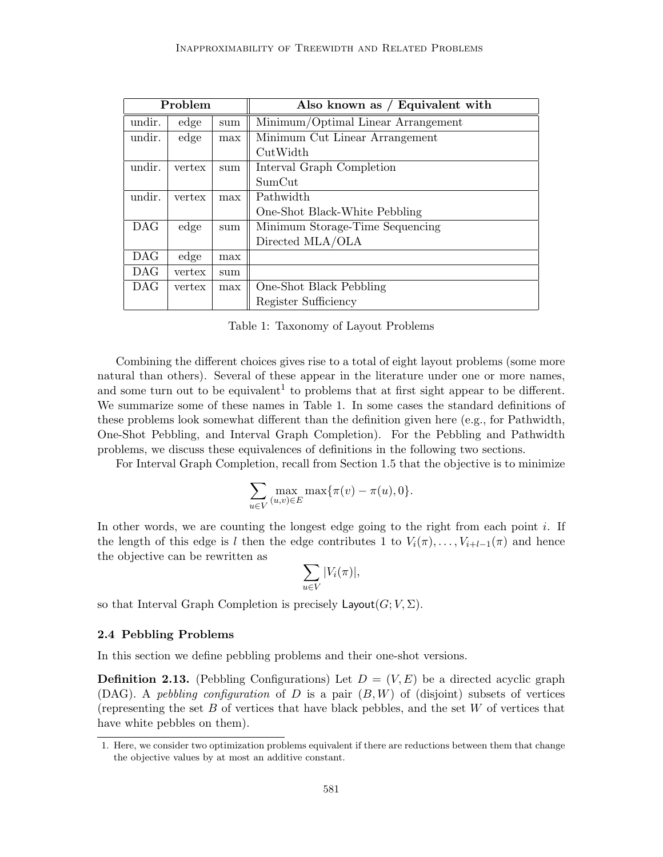| Problem    |               |     | Also known as / Equivalent with    |
|------------|---------------|-----|------------------------------------|
| undir.     | edge          | sum | Minimum/Optimal Linear Arrangement |
| undir.     | edge          | max | Minimum Cut Linear Arrangement     |
|            |               |     | CutWidth                           |
| undir.     | vertex        | sum | Interval Graph Completion          |
|            |               |     | SumCut                             |
| undir.     | vertex        | max | Pathwidth                          |
|            |               |     | One-Shot Black-White Pebbling      |
| <b>DAG</b> | $_{\rm edge}$ | sum | Minimum Storage-Time Sequencing    |
|            |               |     | Directed MLA/OLA                   |
| <b>DAG</b> | edge          | max |                                    |
| <b>DAG</b> | vertex        | sum |                                    |
| <b>DAG</b> | vertex        | max | One-Shot Black Pebbling            |
|            |               |     | Register Sufficiency               |

Table 1: Taxonomy of Layout Problems

Combining the different choices gives rise to a total of eight layout problems (some more natural than others). Several of these appear in the literature under one or more names, and some turn out to be equivalent<sup>1</sup> to problems that at first sight appear to be different. We summarize some of these names in Table 1. In some cases the standard definitions of these problems look somewhat different than the definition given here (e.g., for Pathwidth, One-Shot Pebbling, and Interval Graph Completion). For the Pebbling and Pathwidth problems, we discuss these equivalences of definitions in the following two sections.

For Interval Graph Completion, recall from Section 1.5 that the objective is to minimize

$$
\sum_{u\in V}\max_{(u,v)\in E}\max\{\pi(v)-\pi(u),0\}.
$$

In other words, we are counting the longest edge going to the right from each point  $i$ . If the length of this edge is l then the edge contributes 1 to  $V_i(\pi), \ldots, V_{i+l-1}(\pi)$  and hence the objective can be rewritten as

$$
\sum_{u \in V} |V_i(\pi)|,
$$

so that Interval Graph Completion is precisely  $\mathsf{Layout}(G; V, \Sigma)$ .

#### 2.4 Pebbling Problems

In this section we define pebbling problems and their one-shot versions.

**Definition 2.13.** (Pebbling Configurations) Let  $D = (V, E)$  be a directed acyclic graph (DAG). A pebbling configuration of D is a pair  $(B, W)$  of (disjoint) subsets of vertices (representing the set  $B$  of vertices that have black pebbles, and the set  $W$  of vertices that have white pebbles on them).

<sup>1.</sup> Here, we consider two optimization problems equivalent if there are reductions between them that change the objective values by at most an additive constant.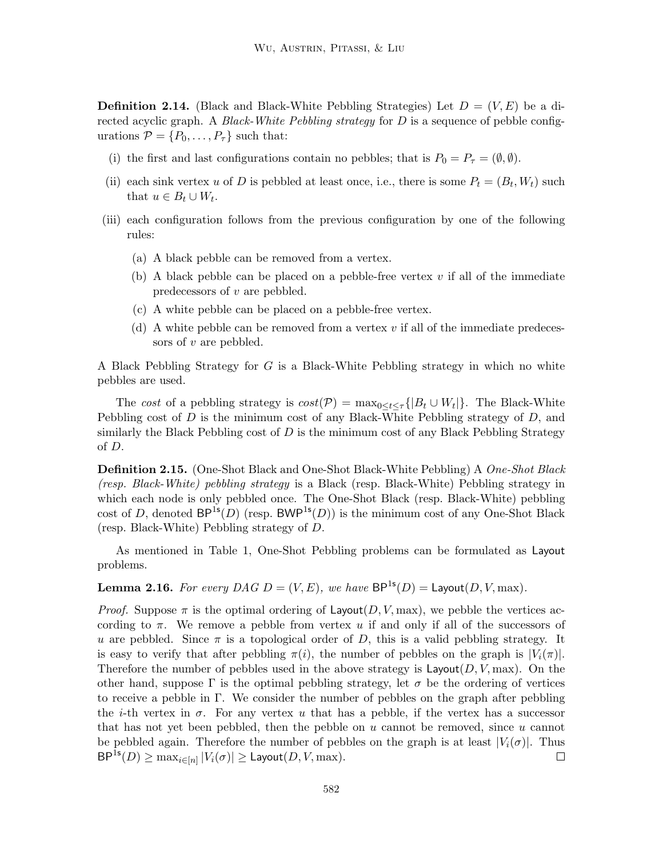**Definition 2.14.** (Black and Black-White Pebbling Strategies) Let  $D = (V, E)$  be a directed acyclic graph. A Black-White Pebbling strategy for  $D$  is a sequence of pebble configurations  $\mathcal{P} = \{P_0, \ldots, P_{\tau}\}\$  such that:

- (i) the first and last configurations contain no pebbles; that is  $P_0 = P_\tau = (\emptyset, \emptyset)$ .
- (ii) each sink vertex u of D is pebbled at least once, i.e., there is some  $P_t = (B_t, W_t)$  such that  $u \in B_t \cup W_t$ .
- (iii) each configuration follows from the previous configuration by one of the following rules:
	- (a) A black pebble can be removed from a vertex.
	- (b) A black pebble can be placed on a pebble-free vertex  $v$  if all of the immediate predecessors of v are pebbled.
	- (c) A white pebble can be placed on a pebble-free vertex.
	- (d) A white pebble can be removed from a vertex  $v$  if all of the immediate predecessors of v are pebbled.

A Black Pebbling Strategy for G is a Black-White Pebbling strategy in which no white pebbles are used.

The cost of a pebbling strategy is  $cost(\mathcal{P}) = \max_{0 \leq t \leq \tau} \{|B_t \cup W_t|\}$ . The Black-White Pebbling cost of  $D$  is the minimum cost of any Black-White Pebbling strategy of  $D$ , and similarly the Black Pebbling cost of  $D$  is the minimum cost of any Black Pebbling Strategy of D.

**Definition 2.15.** (One-Shot Black and One-Shot Black-White Pebbling) A One-Shot Black (resp. Black-White) pebbling strategy is a Black (resp. Black-White) Pebbling strategy in which each node is only pebbled once. The One-Shot Black (resp. Black-White) pebbling cost of D, denoted  $BP^{1s}(D)$  (resp.  $BWP^{1s}(D)$ ) is the minimum cost of any One-Shot Black (resp. Black-White) Pebbling strategy of D.

As mentioned in Table 1, One-Shot Pebbling problems can be formulated as Layout problems.

**Lemma 2.16.** For every DAG  $D = (V, E)$ , we have  $BP^{1s}(D) =$  Layout $(D, V, \text{max})$ .

*Proof.* Suppose  $\pi$  is the optimal ordering of Layout( $D, V, \text{max}$ ), we pebble the vertices according to  $\pi$ . We remove a pebble from vertex u if and only if all of the successors of u are pebbled. Since  $\pi$  is a topological order of D, this is a valid pebbling strategy. It is easy to verify that after pebbling  $\pi(i)$ , the number of pebbles on the graph is  $|V_i(\pi)|$ . Therefore the number of pebbles used in the above strategy is  $\textsf{Layout}(D, V, \text{max})$ . On the other hand, suppose  $\Gamma$  is the optimal pebbling strategy, let  $\sigma$  be the ordering of vertices to receive a pebble in Γ. We consider the number of pebbles on the graph after pebbling the *i*-th vertex in  $\sigma$ . For any vertex u that has a pebble, if the vertex has a successor that has not yet been pebbled, then the pebble on u cannot be removed, since u cannot be pebbled again. Therefore the number of pebbles on the graph is at least  $|V_i(\sigma)|$ . Thus  $\mathsf{BP}^{\text{ls}}(D) \ge \max_{i \in [n]} |V_i(\sigma)| \ge \mathsf{Layout}(D, V, \max).$  $\Box$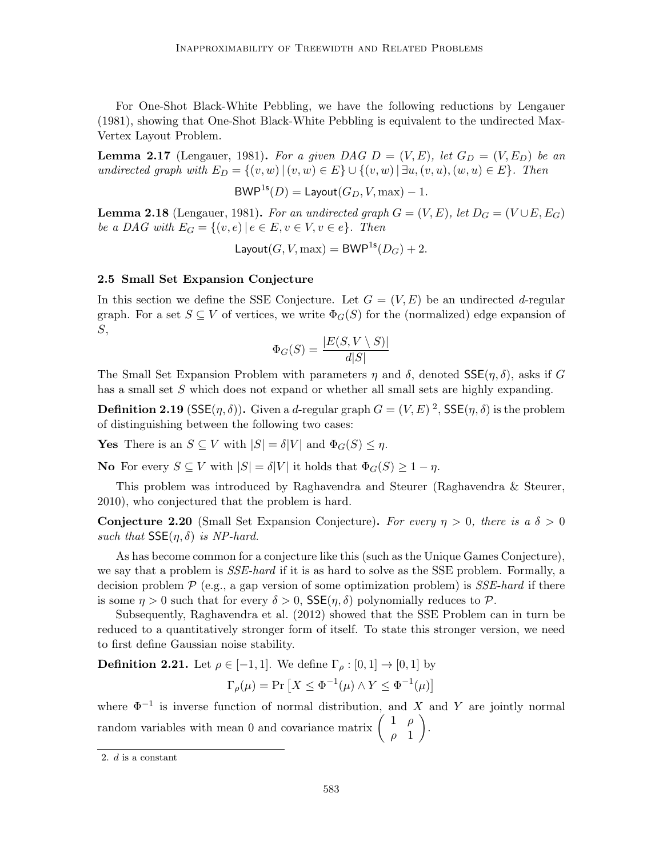For One-Shot Black-White Pebbling, we have the following reductions by Lengauer (1981), showing that One-Shot Black-White Pebbling is equivalent to the undirected Max-Vertex Layout Problem.

**Lemma 2.17** (Lengauer, 1981). For a given DAG  $D = (V, E)$ , let  $G_D = (V, E_D)$  be an undirected graph with  $E_D = \{(v, w) | (v, w) \in E\}$  ∪  $\{(v, w) | \exists u, (v, u), (w, u) \in E\}$ . Then

$$
\mathsf{BWP}^{1s}(D) = \mathsf{Layout}(G_D, V, \max) - 1.
$$

**Lemma 2.18** (Lengauer, 1981). For an undirected graph  $G = (V, E)$ , let  $D_G = (V \cup E, E_G)$ be a DAG with  $E_G = \{(v, e) | e \in E, v \in V, v \in e\}$ . Then

Layout $(G, V, \text{max}) = \text{BWP}^{1s}(D_G) + 2.$ 

## 2.5 Small Set Expansion Conjecture

In this section we define the SSE Conjecture. Let  $G = (V, E)$  be an undirected d-regular graph. For a set  $S \subseteq V$  of vertices, we write  $\Phi_G(S)$  for the (normalized) edge expansion of S,

$$
\Phi_G(S) = \frac{|E(S, V \setminus S)|}{d|S|}
$$

The Small Set Expansion Problem with parameters  $\eta$  and  $\delta$ , denoted  $\mathsf{SSE}(\eta, \delta)$ , asks if G has a small set S which does not expand or whether all small sets are highly expanding.

**Definition 2.19** (SSE( $\eta$ , $\delta$ )). Given a d-regular graph  $G = (V, E)^2$ , SSE( $\eta$ , $\delta$ ) is the problem of distinguishing between the following two cases:

**Yes** There is an  $S \subseteq V$  with  $|S| = \delta|V|$  and  $\Phi_G(S) \leq \eta$ .

**No** For every  $S \subseteq V$  with  $|S| = \delta |V|$  it holds that  $\Phi_G(S) \geq 1 - \eta$ .

This problem was introduced by Raghavendra and Steurer (Raghavendra & Steurer, 2010), who conjectured that the problem is hard.

**Conjecture 2.20** (Small Set Expansion Conjecture). For every  $\eta > 0$ , there is a  $\delta > 0$ such that  $\mathsf{SSE}(\eta, \delta)$  is NP-hard.

As has become common for a conjecture like this (such as the Unique Games Conjecture), we say that a problem is *SSE-hard* if it is as hard to solve as the SSE problem. Formally, a decision problem  $\mathcal{P}$  (e.g., a gap version of some optimization problem) is *SSE-hard* if there is some  $\eta > 0$  such that for every  $\delta > 0$ ,  $\mathsf{SSE}(\eta, \delta)$  polynomially reduces to P.

Subsequently, Raghavendra et al. (2012) showed that the SSE Problem can in turn be reduced to a quantitatively stronger form of itself. To state this stronger version, we need to first define Gaussian noise stability.

**Definition 2.21.** Let  $\rho \in [-1, 1]$ . We define  $\Gamma_{\rho} : [0, 1] \to [0, 1]$  by

$$
\Gamma_{\rho}(\mu) = \Pr\left[X \le \Phi^{-1}(\mu) \land Y \le \Phi^{-1}(\mu)\right]
$$

where  $\Phi^{-1}$  is inverse function of normal distribution, and X and Y are jointly normal random variables with mean 0 and covariance matrix  $\begin{pmatrix} 1 & \rho \\ 1 & 1 \end{pmatrix}$  $\rho$  1 .

<sup>2.</sup> d is a constant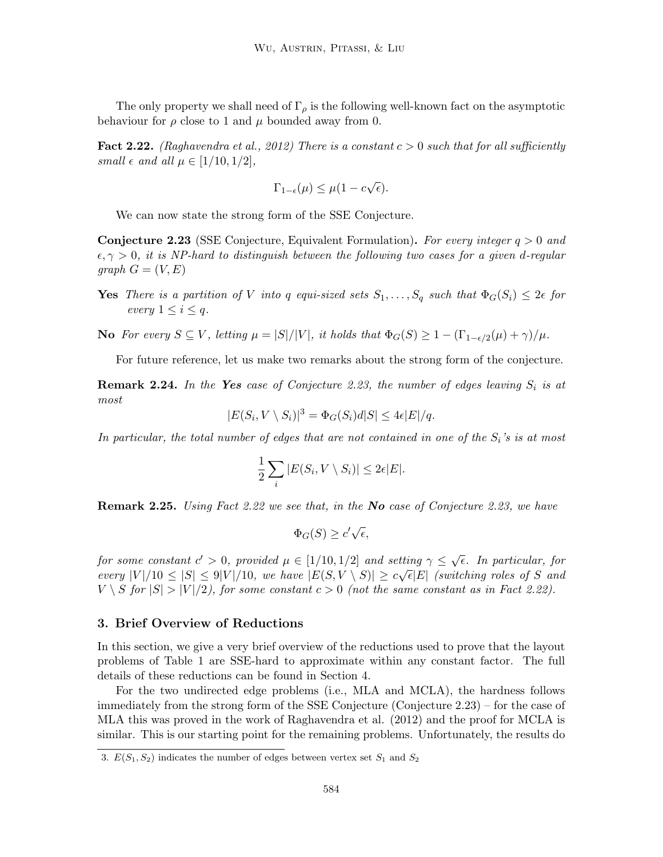The only property we shall need of  $\Gamma_{\rho}$  is the following well-known fact on the asymptotic behaviour for  $\rho$  close to 1 and  $\mu$  bounded away from 0.

**Fact 2.22.** (Raghavendra et al., 2012) There is a constant  $c > 0$  such that for all sufficiently small  $\epsilon$  and all  $\mu \in [1/10, 1/2]$ ,

$$
\Gamma_{1-\epsilon}(\mu) \le \mu(1 - c\sqrt{\epsilon}).
$$

We can now state the strong form of the SSE Conjecture.

**Conjecture 2.23** (SSE Conjecture, Equivalent Formulation). For every integer  $q > 0$  and  $\epsilon, \gamma > 0$ , it is NP-hard to distinguish between the following two cases for a given d-regular  $graph G = (V, E)$ 

- **Yes** There is a partition of V into q equi-sized sets  $S_1, \ldots, S_q$  such that  $\Phi_G(S_i) \leq 2\epsilon$  for every  $1 \leq i \leq q$ .
- **No** For every  $S \subseteq V$ , letting  $\mu = |S|/|V|$ , it holds that  $\Phi_G(S) \geq 1 (\Gamma_{1-\epsilon/2}(\mu) + \gamma)/\mu$ .

For future reference, let us make two remarks about the strong form of the conjecture.

**Remark 2.24.** In the Yes case of Conjecture 2.23, the number of edges leaving  $S_i$  is at most

$$
|E(S_i, V \setminus S_i)|^3 = \Phi_G(S_i)d|S| \le 4\epsilon|E|/q.
$$

In particular, the total number of edges that are not contained in one of the  $S_i$ 's is at most

$$
\frac{1}{2}\sum_{i}|E(S_i, V \setminus S_i)| \leq 2\epsilon|E|.
$$

**Remark 2.25.** Using Fact 2.22 we see that, in the  $\bf{No}$  case of Conjecture 2.23, we have

$$
\Phi_G(S) \ge c'\sqrt{\epsilon},
$$

for some constant  $c' > 0$ , provided  $\mu \in [1/10, 1/2]$  and setting  $\gamma \leq \sqrt{\epsilon}$ . In particular, for every  $|V|/10 \leq |S| \leq 9|V|/10$ , we have  $|E(S, V \setminus S)| \geq c\sqrt{\epsilon}|E|$  (switching roles of S and  $V \setminus S$  for  $|S| > |V|/2$ , for some constant  $c > 0$  (not the same constant as in Fact 2.22).

## 3. Brief Overview of Reductions

In this section, we give a very brief overview of the reductions used to prove that the layout problems of Table 1 are SSE-hard to approximate within any constant factor. The full details of these reductions can be found in Section 4.

For the two undirected edge problems (i.e., MLA and MCLA), the hardness follows immediately from the strong form of the SSE Conjecture (Conjecture 2.23) – for the case of MLA this was proved in the work of Raghavendra et al. (2012) and the proof for MCLA is similar. This is our starting point for the remaining problems. Unfortunately, the results do

<sup>3.</sup>  $E(S_1, S_2)$  indicates the number of edges between vertex set  $S_1$  and  $S_2$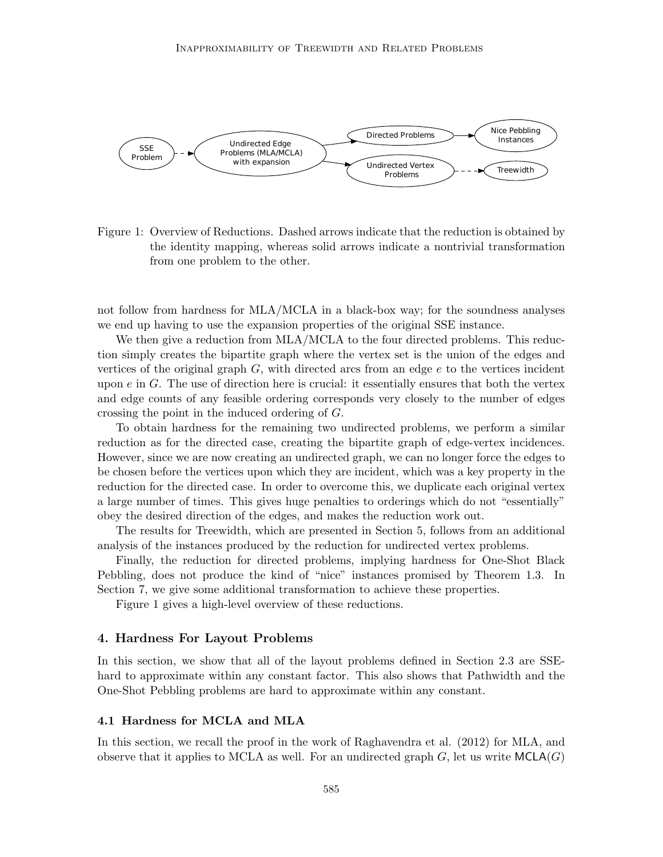

Figure 1: Overview of Reductions. Dashed arrows indicate that the reduction is obtained by the identity mapping, whereas solid arrows indicate a nontrivial transformation from one problem to the other.

not follow from hardness for MLA/MCLA in a black-box way; for the soundness analyses we end up having to use the expansion properties of the original SSE instance.

We then give a reduction from MLA/MCLA to the four directed problems. This reduction simply creates the bipartite graph where the vertex set is the union of the edges and vertices of the original graph  $G$ , with directed arcs from an edge  $e$  to the vertices incident upon  $e$  in  $G$ . The use of direction here is crucial: it essentially ensures that both the vertex and edge counts of any feasible ordering corresponds very closely to the number of edges crossing the point in the induced ordering of G.

To obtain hardness for the remaining two undirected problems, we perform a similar reduction as for the directed case, creating the bipartite graph of edge-vertex incidences. However, since we are now creating an undirected graph, we can no longer force the edges to be chosen before the vertices upon which they are incident, which was a key property in the reduction for the directed case. In order to overcome this, we duplicate each original vertex a large number of times. This gives huge penalties to orderings which do not "essentially" obey the desired direction of the edges, and makes the reduction work out.

The results for Treewidth, which are presented in Section 5, follows from an additional analysis of the instances produced by the reduction for undirected vertex problems.

Finally, the reduction for directed problems, implying hardness for One-Shot Black Pebbling, does not produce the kind of "nice" instances promised by Theorem 1.3. In Section 7, we give some additional transformation to achieve these properties.

Figure 1 gives a high-level overview of these reductions.

#### 4. Hardness For Layout Problems

In this section, we show that all of the layout problems defined in Section 2.3 are SSEhard to approximate within any constant factor. This also shows that Pathwidth and the One-Shot Pebbling problems are hard to approximate within any constant.

## 4.1 Hardness for MCLA and MLA

In this section, we recall the proof in the work of Raghavendra et al. (2012) for MLA, and observe that it applies to MCLA as well. For an undirected graph  $G$ , let us write  $MCLA(G)$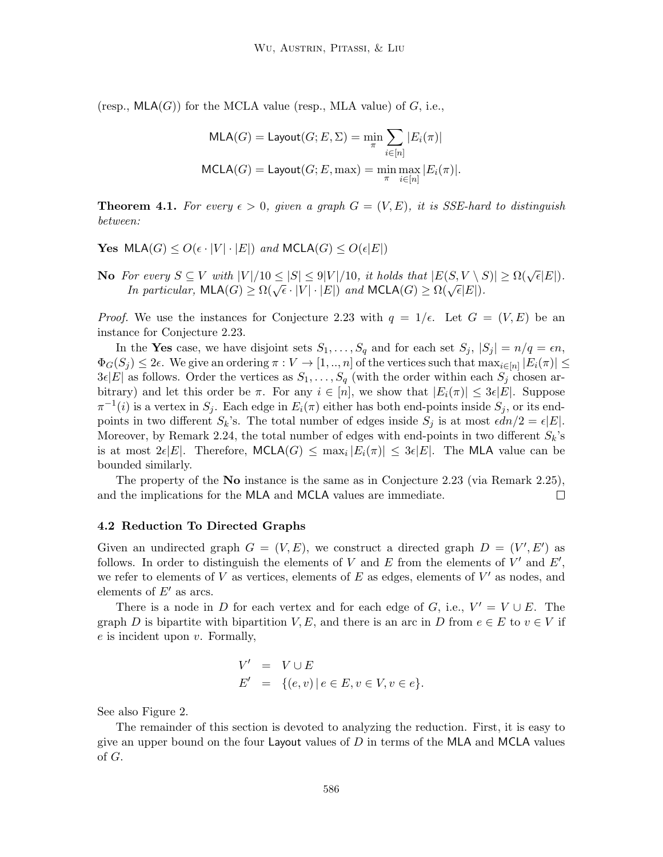(resp.,  $MLA(G)$ ) for the MCLA value (resp., MLA value) of  $G$ , i.e.,

$$
\mathsf{MLA}(G) = \mathsf{Layout}(G; E, \Sigma) = \min_{\pi} \sum_{i \in [n]} |E_i(\pi)|
$$

$$
\mathsf{MCLA}(G) = \mathsf{Layout}(G; E, \max) = \min_{\pi} \max_{i \in [n]} |E_i(\pi)|.
$$

**Theorem 4.1.** For every  $\epsilon > 0$ , given a graph  $G = (V, E)$ , it is SSE-hard to distinguish between:

**Yes**  $MLA(G) \le O(\epsilon \cdot |V| \cdot |E|)$  and  $MLA(G) \le O(\epsilon |E|)$ 

No For every  $S \subseteq V$  with  $|V|/10 \leq |S| \leq 9|V|/10$ , it holds that  $|E(S, V \setminus S)| \geq \Omega(\sqrt{\epsilon}|E|)$ .  $\Omega$  is the particular,  $\mathsf{MLA}(G) \geq \Omega(\sqrt{\epsilon} \cdot |V| \cdot |E|)$  and  $\mathsf{MLA}(G) \geq \Omega(\sqrt{\epsilon} |E|)$ .

*Proof.* We use the instances for Conjecture 2.23 with  $q = 1/\epsilon$ . Let  $G = (V, E)$  be an instance for Conjecture 2.23.

In the Yes case, we have disjoint sets  $S_1, \ldots, S_q$  and for each set  $S_j$ ,  $|S_j| = n/q = \epsilon n$ ,  $\Phi_G(S_j) \leq 2\epsilon$ . We give an ordering  $\pi: V \to [1, ..., n]$  of the vertices such that  $\max_{i \in [n]} |E_i(\pi)| \leq$  $3\epsilon|E|$  as follows. Order the vertices as  $S_1, \ldots, S_q$  (with the order within each  $S_j$  chosen arbitrary) and let this order be  $\pi$ . For any  $i \in [n]$ , we show that  $|E_i(\pi)| \leq 3\epsilon |E|$ . Suppose  $\pi^{-1}(i)$  is a vertex in  $S_j$ . Each edge in  $E_i(\pi)$  either has both end-points inside  $S_j$ , or its endpoints in two different  $S_k$ 's. The total number of edges inside  $S_j$  is at most  $\epsilon dn/2 = \epsilon |E|$ . Moreover, by Remark 2.24, the total number of edges with end-points in two different  $S_k$ 's is at most  $2\epsilon|E|$ . Therefore,  $\mathsf{MCLA}(G) \le \max_i |E_i(\pi)| \le 3\epsilon|E|$ . The MLA value can be bounded similarly.

The property of the No instance is the same as in Conjecture 2.23 (via Remark 2.25), and the implications for the MLA and MCLA values are immediate.  $\Box$ 

#### 4.2 Reduction To Directed Graphs

Given an undirected graph  $G = (V, E)$ , we construct a directed graph  $D = (V', E')$  as follows. In order to distinguish the elements of V and E from the elements of  $V'$  and  $E'$ , we refer to elements of  $V$  as vertices, elements of  $E$  as edges, elements of  $V'$  as nodes, and elements of  $E'$  as arcs.

There is a node in D for each vertex and for each edge of G, i.e.,  $V' = V \cup E$ . The graph D is bipartite with bipartition  $V, E$ , and there is an arc in D from  $e \in E$  to  $v \in V$  if e is incident upon v. Formally,

$$
V' = V \cup E
$$
  

$$
E' = \{(e, v) \mid e \in E, v \in V, v \in e\}.
$$

See also Figure 2.

The remainder of this section is devoted to analyzing the reduction. First, it is easy to give an upper bound on the four Layout values of  $D$  in terms of the MLA and MCLA values of G.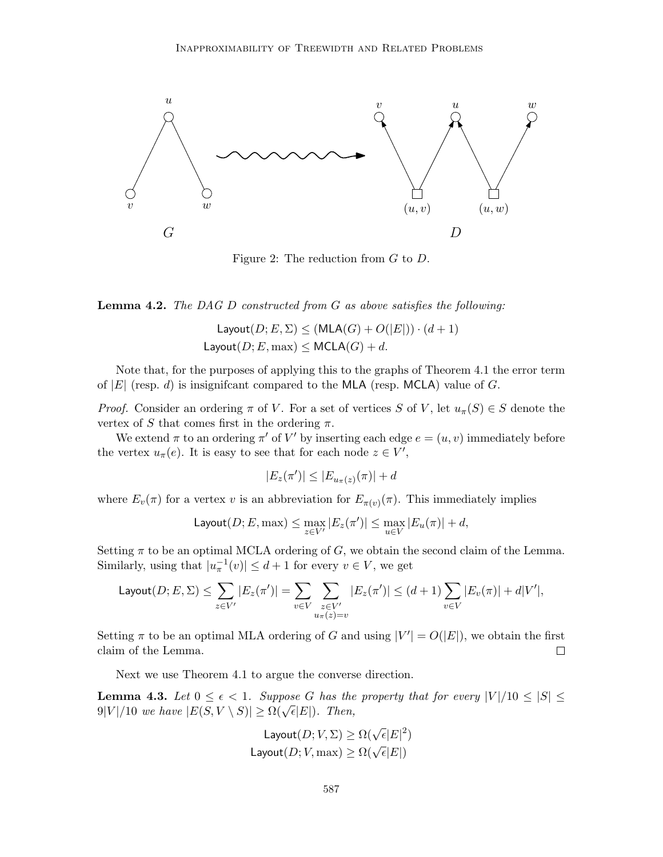

Figure 2: The reduction from G to D.

**Lemma 4.2.** The DAG D constructed from G as above satisfies the following:

$$
\mathsf{Layout}(D; E, \Sigma) \le (\mathsf{MLA}(G) + O(|E|)) \cdot (d+1)
$$
  

$$
\mathsf{Layout}(D; E, \max) \le \mathsf{MCLA}(G) + d.
$$

Note that, for the purposes of applying this to the graphs of Theorem 4.1 the error term of  $|E|$  (resp. d) is insignificant compared to the MLA (resp. MCLA) value of G.

*Proof.* Consider an ordering  $\pi$  of V. For a set of vertices S of V, let  $u_{\pi}(S) \in S$  denote the vertex of S that comes first in the ordering  $\pi$ .

We extend  $\pi$  to an ordering  $\pi'$  of V' by inserting each edge  $e = (u, v)$  immediately before the vertex  $u_{\pi}(e)$ . It is easy to see that for each node  $z \in V'$ ,

$$
|E_z(\pi')| \leq |E_{u_{\pi}(z)}(\pi)| + d
$$

where  $E_v(\pi)$  for a vertex v is an abbreviation for  $E_{\pi(v)}(\pi)$ . This immediately implies

$$
\mathsf{Layout}(D; E, \max) \le \max_{z \in V'} |E_z(\pi')| \le \max_{u \in V} |E_u(\pi)| + d,
$$

Setting  $\pi$  to be an optimal MCLA ordering of G, we obtain the second claim of the Lemma. Similarly, using that  $|u_{\pi}^{-1}(v)| \leq d+1$  for every  $v \in V$ , we get

$$
\mathsf{Layout}(D; E, \Sigma) \le \sum_{z \in V'} |E_z(\pi')| = \sum_{v \in V} \sum_{\substack{z \in V' \\ u_\pi(z) = v}} |E_z(\pi')| \le (d+1) \sum_{v \in V} |E_v(\pi)| + d|V'|,
$$

Setting  $\pi$  to be an optimal MLA ordering of G and using  $|V'| = O(|E|)$ , we obtain the first claim of the Lemma.  $\Box$ 

Next we use Theorem 4.1 to argue the converse direction.

**Lemma 4.3.** Let  $0 \le \epsilon < 1$ . Suppose G has the property that for every  $|V|/10 \le |S| \le$ **Definite 4.3.** Let  $0 \le \epsilon < 1$ . Suppose  $\Theta$  has the  $9|V|/10$  we have  $|E(S, V \setminus S)| \ge \Omega(\sqrt{\epsilon}|E|)$ . Then,

$$
\mathsf{Layout}(D; V, \Sigma) \ge \Omega(\sqrt{\epsilon}|E|^2)
$$
  
Layout(D; V, max)  $\ge \Omega(\sqrt{\epsilon}|E|)$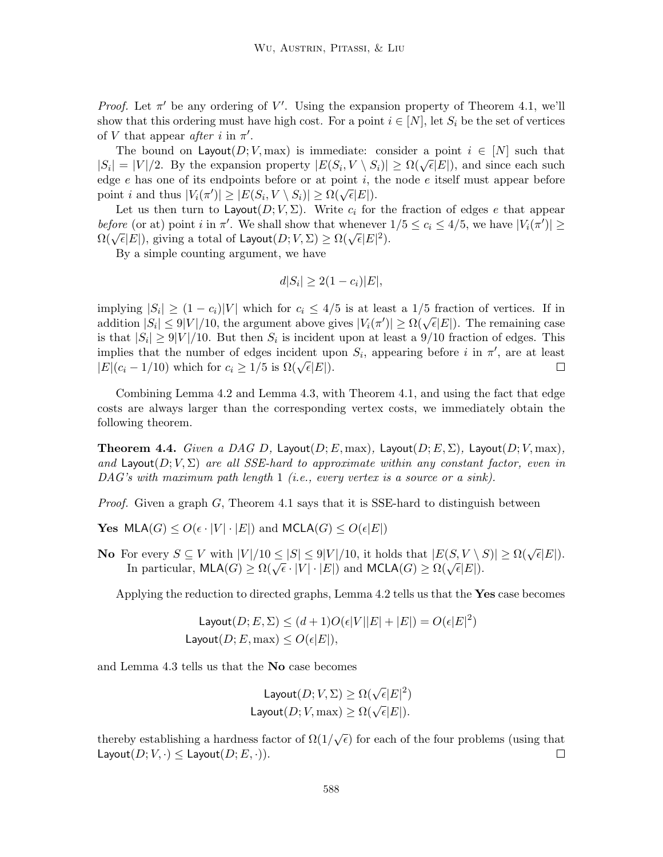Proof. Let  $\pi'$  be any ordering of V'. Using the expansion property of Theorem 4.1, we'll show that this ordering must have high cost. For a point  $i \in [N]$ , let  $S_i$  be the set of vertices of V that appear *after i* in  $\pi'$ .

The bound on Layout(D; V, max) is immediate: consider a point  $i \in [N]$  such that  $|S_i| = |V|/2$ . By the expansion property  $|E(S_i, V \setminus S_i)| \ge \Omega(\sqrt{\epsilon}|E|)$ , and since each such edge  $e$  has one of its endpoints before or at point i, the node  $e$  itself must appear before being equal thus  $|V_i(\pi')| \ge |E(S_i, V \setminus S_i)| \ge \Omega(\sqrt{\epsilon}|E|)$ .

Let us then turn to Layout $(D; V, \Sigma)$ . Write  $c_i$  for the fraction of edges e that appear before (or at) point i in  $\pi'$ . We shall show that whenever  $1/5 \le c_i \le 4/5$ , we have  $|V_i(\pi')| \ge$ before (or at) point  $\ell$  in  $\pi$ . We shall show that whenever  $\Omega(\sqrt{\epsilon}|E|)$ , giving a total of Layout $(D;V,\Sigma) \geq \Omega(\sqrt{\epsilon}|E|^2)$ .

By a simple counting argument, we have

$$
d|S_i| \ge 2(1 - c_i)|E|,
$$

implying  $|S_i| \geq (1 - c_i)|V|$  which for  $c_i \leq 4/5$  is at least a 1/5 fraction of vertices. If in  $\lim_{i} |\mathcal{S}_i| \leq (1 - \epsilon_i)|V|$  which for  $\epsilon_i \leq 4/5$  is at least a 1/5 fraction of vertices. If in addition  $|S_i| \leq 9|V|/10$ , the argument above gives  $|V_i(\pi')| \geq \Omega(\sqrt{\epsilon}|E|)$ . The remaining case is that  $|S_i| \ge 9|V|/10$ . But then  $S_i$  is incident upon at least a  $9/10$  fraction of edges. This implies that the number of edges incident upon  $S_i$ , appearing before i in  $\pi'$ , are at least Efficient the number of edges incluent up<br>  $|E|(c_i - 1/10)$  which for  $c_i \geq 1/5$  is  $\Omega(\sqrt{\epsilon}|E|)$ .  $\Box$ 

Combining Lemma 4.2 and Lemma 4.3, with Theorem 4.1, and using the fact that edge costs are always larger than the corresponding vertex costs, we immediately obtain the following theorem.

**Theorem 4.4.** Given a DAG D, Layout( $D; E, max$ ), Layout( $D; E, \Sigma$ ), Layout( $D; V, max$ ), and Layout( $D; V, \Sigma$ ) are all SSE-hard to approximate within any constant factor, even in  $DAG's$  with maximum path length 1 (i.e., every vertex is a source or a sink).

*Proof.* Given a graph  $G$ , Theorem 4.1 says that it is SSE-hard to distinguish between

**Yes**  $MLA(G) \le O(\epsilon \cdot |V| \cdot |E|)$  and  $MLA(G) \le O(\epsilon |E|)$ 

**No** For every  $S \subseteq V$  with  $|V|/10 \leq |S| \leq 9|V|/10$ , it holds that  $|E(S, V \setminus S)| \geq \Omega(\sqrt{\epsilon}|E|)$ . In particular,  $MLA(G) \geq \Omega(\sqrt{\epsilon} \cdot |V| \cdot |E|)$  and  $MLA(G) \geq \Omega(\sqrt{\epsilon} |E|)$ .

Applying the reduction to directed graphs, Lemma 4.2 tells us that the Yes case becomes

$$
\text{Layout}(D; E, \Sigma) \le (d+1)O(\epsilon|V||E| + |E|) = O(\epsilon|E|^2)
$$
\n
$$
\text{Layout}(D; E, \max) \le O(\epsilon|E|),
$$

and Lemma 4.3 tells us that the No case becomes

$$
\mathsf{Layout}(D; V, \Sigma) \ge \Omega(\sqrt{\epsilon}|E|^2)
$$
  
Layout(D; V, max)  $\ge \Omega(\sqrt{\epsilon}|E|)$ .

√ thereby establishing a hardness factor of  $\Omega(1)$  $\epsilon$ ) for each of the four problems (using that Layout $(D; V, \cdot) \leq$  Layout $(D; E, \cdot)$ ).  $\Box$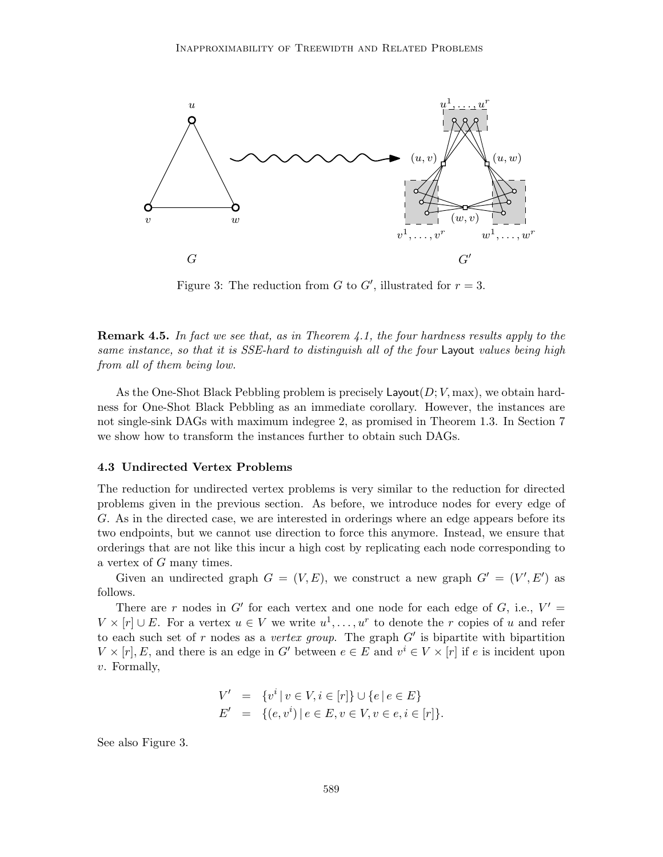

Figure 3: The reduction from G to G', illustrated for  $r = 3$ .

**Remark 4.5.** In fact we see that, as in Theorem 4.1, the four hardness results apply to the same instance, so that it is SSE-hard to distinguish all of the four Layout values being high from all of them being low.

As the One-Shot Black Pebbling problem is precisely  $\textsf{Layout}(D; V, \text{max})$ , we obtain hardness for One-Shot Black Pebbling as an immediate corollary. However, the instances are not single-sink DAGs with maximum indegree 2, as promised in Theorem 1.3. In Section 7 we show how to transform the instances further to obtain such DAGs.

#### 4.3 Undirected Vertex Problems

The reduction for undirected vertex problems is very similar to the reduction for directed problems given in the previous section. As before, we introduce nodes for every edge of G. As in the directed case, we are interested in orderings where an edge appears before its two endpoints, but we cannot use direction to force this anymore. Instead, we ensure that orderings that are not like this incur a high cost by replicating each node corresponding to a vertex of G many times.

Given an undirected graph  $G = (V, E)$ , we construct a new graph  $G' = (V', E')$  as follows.

There are r nodes in G' for each vertex and one node for each edge of G, i.e.,  $V' =$  $V \times [r] \cup E$ . For a vertex  $u \in V$  we write  $u^1, \ldots, u^r$  to denote the r copies of u and refer to each such set of r nodes as a vertex group. The graph  $G'$  is bipartite with bipartition  $V \times [r], E$ , and there is an edge in G' between  $e \in E$  and  $v^i \in V \times [r]$  if e is incident upon v. Formally,

$$
V' = \{v^i | v \in V, i \in [r] \} \cup \{e | e \in E\}
$$
  

$$
E' = \{(e, v^i) | e \in E, v \in V, v \in e, i \in [r] \}.
$$

See also Figure 3.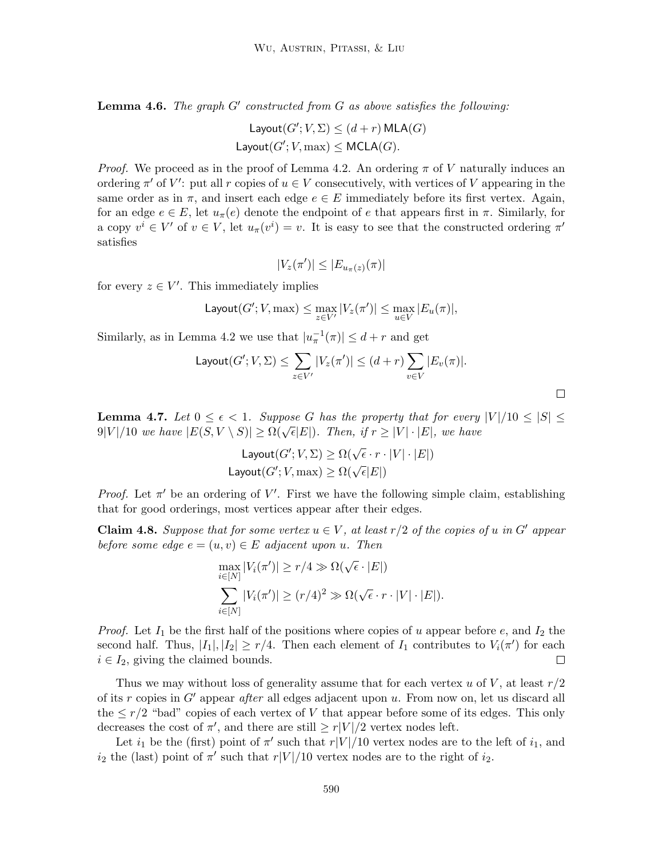**Lemma 4.6.** The graph  $G'$  constructed from  $G$  as above satisfies the following:

$$
\mathsf{Layout}(G'; V, \Sigma) \le (d+r) \mathsf{MLA}(G)
$$
\n
$$
\mathsf{Layout}(G'; V, \max) \le \mathsf{MCLA}(G).
$$

*Proof.* We proceed as in the proof of Lemma 4.2. An ordering  $\pi$  of V naturally induces an ordering  $\pi'$  of V': put all r copies of  $u \in V$  consecutively, with vertices of V appearing in the same order as in  $\pi$ , and insert each edge  $e \in E$  immediately before its first vertex. Again, for an edge  $e \in E$ , let  $u_{\pi}(e)$  denote the endpoint of e that appears first in  $\pi$ . Similarly, for a copy  $v^i \in V'$  of  $v \in V$ , let  $u_{\pi}(v^i) = v$ . It is easy to see that the constructed ordering  $\pi'$ satisfies

$$
|V_z(\pi')| \le |E_{u_{\pi}(z)}(\pi)|
$$

for every  $z \in V'$ . This immediately implies

$$
\mathsf{Layout}(G'; V, \max) \le \max_{z \in V'} |V_z(\pi')| \le \max_{u \in V} |E_u(\pi)|,
$$

Similarly, as in Lemma 4.2 we use that  $|u_{\pi}^{-1}(\pi)| \leq d + r$  and get

$$
\mathsf{Layout}(G'; V, \Sigma) \leq \sum_{z \in V'} |V_z(\pi')| \leq (d+r) \sum_{v \in V} |E_v(\pi)|.
$$

 $\Box$ 

**Lemma 4.7.** Let  $0 \le \epsilon < 1$ . Suppose G has the property that for every  $|V|/10 \le |S| \le$ **Definite 4.1.** Let  $0 \le \epsilon < 1$ . Suppose G has the property that for every  $9|V|/10$  we have  $|E(S, V \setminus S)| \ge \Omega(\sqrt{\epsilon}|E|)$ . Then, if  $r \ge |V| \cdot |E|$ , we have

$$
\mathsf{Layout}(G'; V, \Sigma) \ge \Omega(\sqrt{\epsilon} \cdot r \cdot |V| \cdot |E|)
$$

$$
\mathsf{Layout}(G'; V, \max) \ge \Omega(\sqrt{\epsilon}|E|)
$$

Proof. Let  $\pi'$  be an ordering of V'. First we have the following simple claim, establishing that for good orderings, most vertices appear after their edges.

**Claim 4.8.** Suppose that for some vertex  $u \in V$ , at least  $r/2$  of the copies of u in G' appear before some edge  $e = (u, v) \in E$  adjacent upon u. Then

$$
\max_{i \in [N]} |V_i(\pi')| \ge r/4 \gg \Omega(\sqrt{\epsilon} \cdot |E|)
$$
  

$$
\sum_{i \in [N]} |V_i(\pi')| \ge (r/4)^2 \gg \Omega(\sqrt{\epsilon} \cdot r \cdot |V| \cdot |E|).
$$

*Proof.* Let  $I_1$  be the first half of the positions where copies of u appear before e, and  $I_2$  the second half. Thus,  $|I_1|, |I_2| \ge r/4$ . Then each element of  $I_1$  contributes to  $V_i(\pi')$  for each  $i \in I_2$ , giving the claimed bounds.  $\Box$ 

Thus we may without loss of generality assume that for each vertex u of V, at least  $r/2$ of its r copies in  $G'$  appear after all edges adjacent upon u. From now on, let us discard all the  $\leq r/2$  "bad" copies of each vertex of V that appear before some of its edges. This only decreases the cost of  $\pi'$ , and there are still  $\geq r|V|/2$  vertex nodes left.

Let  $i_1$  be the (first) point of  $\pi'$  such that  $r|V|/10$  vertex nodes are to the left of  $i_1$ , and  $i_2$  the (last) point of  $\pi'$  such that  $r|V|/10$  vertex nodes are to the right of  $i_2$ .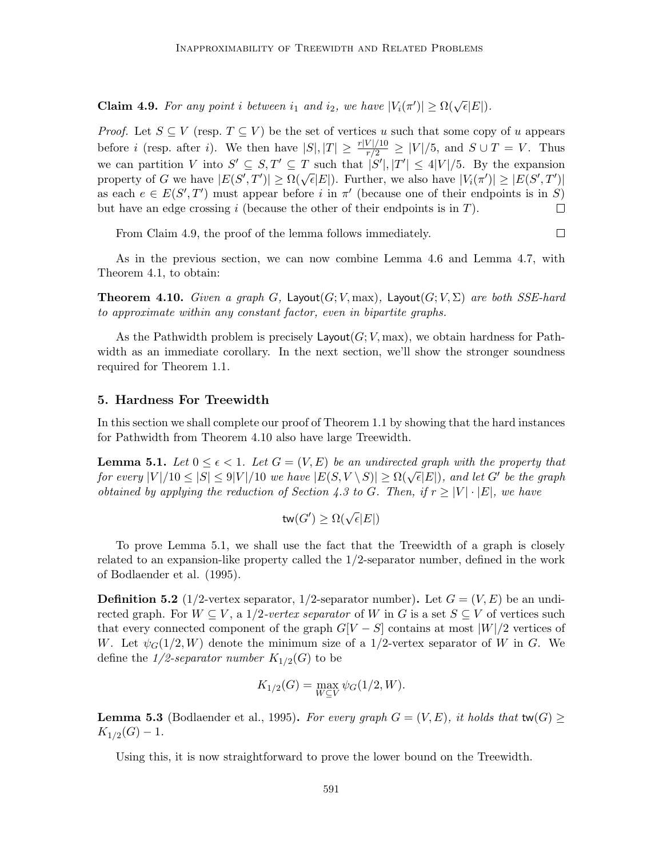**Claim 4.9.** For any point i between  $i_1$  and  $i_2$ , we have  $|V_i(\pi')| \ge \Omega(\sqrt{\epsilon}|E|)$ .

*Proof.* Let  $S \subseteq V$  (resp.  $T \subseteq V$ ) be the set of vertices u such that some copy of u appears before *i* (resp. after *i*). We then have  $|S|, |T| \ge \frac{r|V|/10}{r/2} \ge |V|/5$ , and  $S \cup T = V$ . Thus we can partition V into  $S' \subseteq S, T' \subseteq T$  such that  $|S'|, |T'| \leq 4|V|/5$ . By the expansion property of G we have  $|E(S',T')| \ge \Omega(\sqrt{\epsilon}|E|)$ . Further, we also have  $|V_i(\pi')| \ge |E(S',T')|$ as each  $e \in E(S', T')$  must appear before i in  $\pi'$  (because one of their endpoints is in S) but have an edge crossing i (because the other of their endpoints is in  $T$ ).  $\Box$ 

From Claim 4.9, the proof of the lemma follows immediately.

$$
\qquad \qquad \Box
$$

As in the previous section, we can now combine Lemma 4.6 and Lemma 4.7, with Theorem 4.1, to obtain:

**Theorem 4.10.** Given a graph G, Layout(G; V, max), Layout(G; V,  $\Sigma$ ) are both SSE-hard to approximate within any constant factor, even in bipartite graphs.

As the Pathwidth problem is precisely  $\textsf{Layout}(G; V, \text{max})$ , we obtain hardness for Pathwidth as an immediate corollary. In the next section, we'll show the stronger soundness required for Theorem 1.1.

## 5. Hardness For Treewidth

In this section we shall complete our proof of Theorem 1.1 by showing that the hard instances for Pathwidth from Theorem 4.10 also have large Treewidth.

**Lemma 5.1.** Let  $0 \leq \epsilon \leq 1$ . Let  $G = (V, E)$  be an undirected graph with the property that **Example 1.1.** Let  $0 \le \epsilon < 1$ . Let  $G = (V, E)$  be an unantexted graph with the property that for every  $|V|/10 \le |S| \le 9|V|/10$  we have  $|E(S, V \setminus S)| \ge \Omega(\sqrt{\epsilon}|E|)$ , and let G' be the graph obtained by applying the reduction of Section 4.3 to G. Then, if  $r \geq |V| \cdot |E|$ , we have

$$
\mathsf{tw}(G') \ge \Omega(\sqrt{\epsilon}|E|)
$$

To prove Lemma 5.1, we shall use the fact that the Treewidth of a graph is closely related to an expansion-like property called the 1/2-separator number, defined in the work of Bodlaender et al. (1995).

**Definition 5.2** (1/2-vertex separator, 1/2-separator number). Let  $G = (V, E)$  be an undirected graph. For  $W \subseteq V$ , a 1/2-vertex separator of W in G is a set  $S \subseteq V$  of vertices such that every connected component of the graph  $G[V-S]$  contains at most  $|W|/2$  vertices of W. Let  $\psi_G(1/2, W)$  denote the minimum size of a 1/2-vertex separator of W in G. We define the 1/2-separator number  $K_{1/2}(G)$  to be

$$
K_{1/2}(G) = \max_{W \subseteq V} \psi_G(1/2, W).
$$

**Lemma 5.3** (Bodlaender et al., 1995). For every graph  $G = (V, E)$ , it holds that  $tw(G) \geq$  $K_{1/2}(G) - 1.$ 

Using this, it is now straightforward to prove the lower bound on the Treewidth.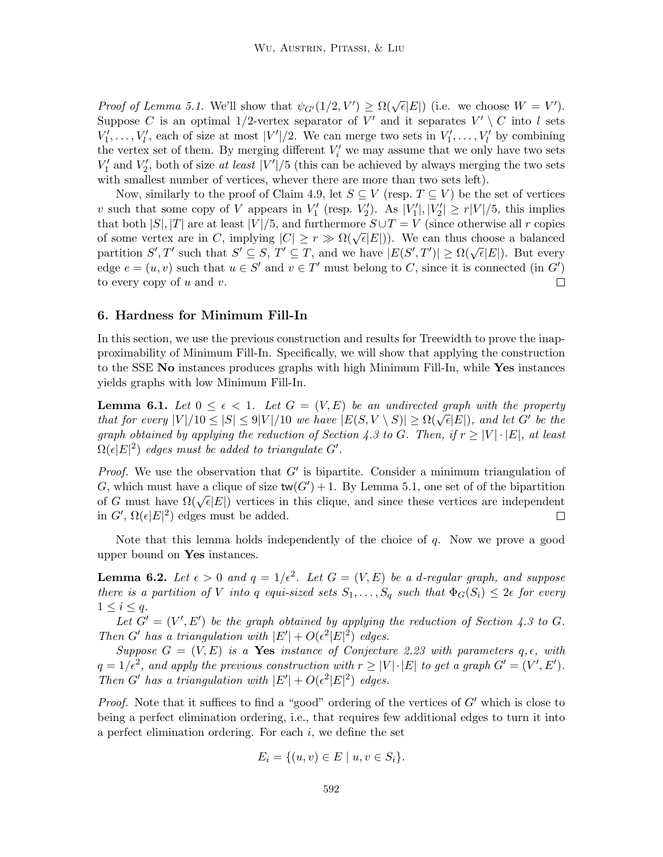Proof of Lemma 5.1. We'll show that  $\psi_{G'}(1/2, V') \ge \Omega(\sqrt{\epsilon}|E|)$  (i.e. we choose  $W = V'$ ). Suppose C is an optimal 1/2-vertex separator of V' and it separates  $V' \setminus C$  into l sets  $V'_1, \ldots, V'_l$ , each of size at most  $|V'|/2$ . We can merge two sets in  $V'_1, \ldots, V'_l$  by combining the vertex set of them. By merging different  $V_i'$  we may assume that we only have two sets  $V'_1$  and  $V'_2$ , both of size *at least*  $|V'|/5$  (this can be achieved by always merging the two sets with smallest number of vertices, whever there are more than two sets left).

Now, similarly to the proof of Claim 4.9, let  $S \subseteq V$  (resp.  $T \subseteq V$ ) be the set of vertices v such that some copy of V appears in  $V'_1$  (resp.  $V'_2$ ). As  $|V'_1|, |V'_2| \ge r|V|/5$ , this implies that both  $|S|$ ,  $|T|$  are at least  $|V|/5$ , and furthermore  $S \cup T = V$  (since otherwise all r copies of some vertex are in C, implying  $|C| \ge r \gg \Omega(\sqrt{\epsilon}|E|)$ ). We can thus choose a balanced between the state in  $C$ , implying  $|C| \geq T \gg \Omega(\sqrt{\epsilon}|E|)$ . We can thus choose a balanced<br>partition S', T' such that  $S' \subseteq S$ ,  $T' \subseteq T$ , and we have  $|E(S',T')| \geq \Omega(\sqrt{\epsilon}|E|)$ . But every edge  $e = (u, v)$  such that  $u \in S'$  and  $v \in T'$  must belong to C, since it is connected (in G') to every copy of  $u$  and  $v$ .  $\Box$ 

## 6. Hardness for Minimum Fill-In

In this section, we use the previous construction and results for Treewidth to prove the inapproximability of Minimum Fill-In. Specifically, we will show that applying the construction to the SSE No instances produces graphs with high Minimum Fill-In, while Yes instances yields graphs with low Minimum Fill-In.

**Lemma 6.1.** Let  $0 \leq \epsilon < 1$ . Let  $G = (V, E)$  be an undirected graph with the property **Example 1.1.** Let  $0 \le \epsilon < 1$ . Let  $G = (v, E)$  be an analised graph with the property that for every  $|V|/10 \le |S| \le 9|V|/10$  we have  $|E(S, V \setminus S)| \ge \Omega(\sqrt{\epsilon}|E|)$ , and let  $G'$  be the graph obtained by applying the reduction of Section 4.3 to G. Then, if  $r \geq |V| \cdot |E|$ , at least  $\Omega(\epsilon |E|^2)$  edges must be added to triangulate G'.

*Proof.* We use the observation that  $G'$  is bipartite. Consider a minimum triangulation of G, which must have a clique of size  $tw(G') + 1$ . By Lemma 5.1, one set of of the bipartition of G must have a chique of size  $w(G) + 1$ . By Lemma 3.1, one set of or the orpartition<br>of G must have  $\Omega(\sqrt{\epsilon}|E|)$  vertices in this clique, and since these vertices are independent in  $G'$ ,  $\Omega(\epsilon|E|^2)$  edges must be added.  $\Box$ 

Note that this lemma holds independently of the choice of  $q$ . Now we prove a good upper bound on Yes instances.

**Lemma 6.2.** Let  $\epsilon > 0$  and  $q = 1/\epsilon^2$ . Let  $G = (V, E)$  be a d-regular graph, and suppose there is a partition of V into q equi-sized sets  $S_1, \ldots, S_q$  such that  $\Phi_G(S_i) \leq 2\epsilon$  for every  $1 \leq i \leq q$ .

Let  $G' = (V', E')$  be the graph obtained by applying the reduction of Section 4.3 to G. Then G' has a triangulation with  $|E'| + O(\epsilon^2 |E|^2)$  edges.

Suppose  $G = (V, E)$  is a **Yes** instance of Conjecture 2.23 with parameters  $q, \epsilon$ , with  $q = 1/\epsilon^2$ , and apply the previous construction with  $r \geq |V| \cdot |E|$  to get a graph  $G' = (V', E')$ . Then G' has a triangulation with  $|E'| + O(\epsilon^2 |E|^2)$  edges.

*Proof.* Note that it suffices to find a "good" ordering of the vertices of  $G'$  which is close to being a perfect elimination ordering, i.e., that requires few additional edges to turn it into a perfect elimination ordering. For each  $i$ , we define the set

$$
E_i = \{(u, v) \in E \mid u, v \in S_i\}.
$$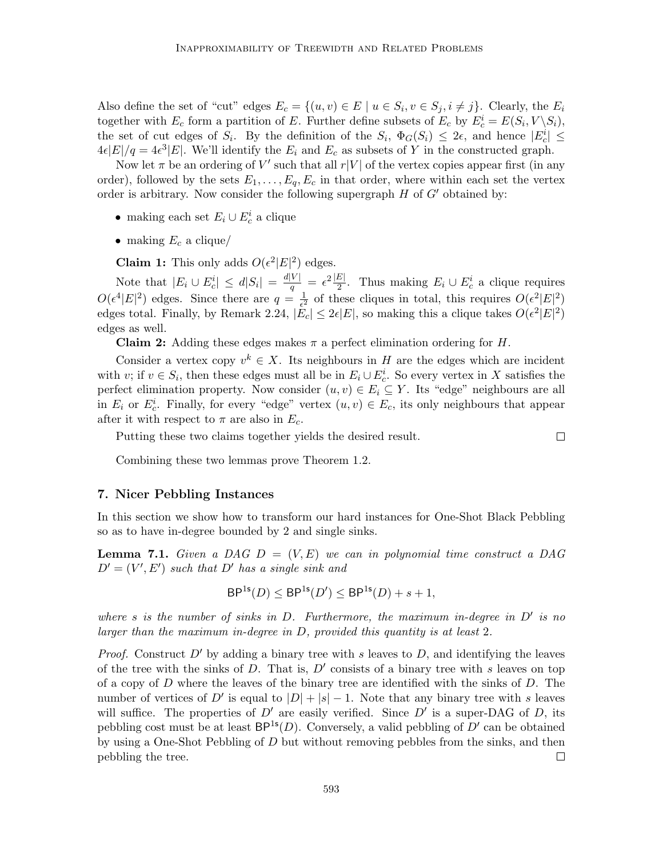Also define the set of "cut" edges  $E_c = \{(u, v) \in E \mid u \in S_i, v \in S_j, i \neq j\}$ . Clearly, the  $E_i$ together with  $E_c$  form a partition of E. Further define subsets of  $E_c$  by  $E_c^i = E(S_i, V \backslash S_i)$ , the set of cut edges of  $S_i$ . By the definition of the  $S_i$ ,  $\Phi_G(S_i) \leq 2\epsilon$ , and hence  $|E_c^i| \leq$  $4\epsilon|E|/q = 4\epsilon^3|E|$ . We'll identify the  $E_i$  and  $E_c$  as subsets of Y in the constructed graph.

Now let  $\pi$  be an ordering of V' such that all  $r|V|$  of the vertex copies appear first (in any order), followed by the sets  $E_1, \ldots, E_q, E_c$  in that order, where within each set the vertex order is arbitrary. Now consider the following supergraph  $H$  of  $G'$  obtained by:

- making each set  $E_i \cup E_c^i$  a clique
- making  $E_c$  a clique/

**Claim 1:** This only adds  $O(\epsilon^2|E|^2)$  edges.

Note that  $|E_i \cup E_c^i| \leq d|S_i| = \frac{d|V|}{q} = \epsilon^2 \frac{|E|}{2}$ . Thus making  $E_i \cup E_c^i$  a clique requires  $O(\epsilon^4 |E|^2)$  edges. Since there are  $q = \frac{1}{\epsilon^2}$  $\frac{1}{\epsilon^2}$  of these cliques in total, this requires  $O(\epsilon^2 |E|^2)$ edges total. Finally, by Remark 2.24,  $|\tilde{E}_c| \leq 2\epsilon |E|$ , so making this a clique takes  $O(\epsilon^2 |E|^2)$ edges as well.

**Claim 2:** Adding these edges makes  $\pi$  a perfect elimination ordering for H.

Consider a vertex copy  $v^k \in X$ . Its neighbours in H are the edges which are incident with v; if  $v \in S_i$ , then these edges must all be in  $E_i \cup E_c^i$ . So every vertex in X satisfies the perfect elimination property. Now consider  $(u, v) \in E_i \subseteq Y$ . Its "edge" neighbours are all in  $E_i$  or  $E_c^i$ . Finally, for every "edge" vertex  $(u, v) \in E_c$ , its only neighbours that appear after it with respect to  $\pi$  are also in  $E_c$ .

 $\Box$ 

Putting these two claims together yields the desired result.

Combining these two lemmas prove Theorem 1.2.

## 7. Nicer Pebbling Instances

In this section we show how to transform our hard instances for One-Shot Black Pebbling so as to have in-degree bounded by 2 and single sinks.

**Lemma 7.1.** Given a DAG  $D = (V, E)$  we can in polynomial time construct a DAG  $D' = (V', E')$  such that D' has a single sink and

$$
BP^{1s}(D) \le BP^{1s}(D') \le BP^{1s}(D) + s + 1,
$$

where s is the number of sinks in  $D$ . Furthermore, the maximum in-degree in  $D'$  is no larger than the maximum in-degree in  $D$ , provided this quantity is at least 2.

*Proof.* Construct  $D'$  by adding a binary tree with s leaves to  $D$ , and identifying the leaves of the tree with the sinks of D. That is,  $D'$  consists of a binary tree with s leaves on top of a copy of  $D$  where the leaves of the binary tree are identified with the sinks of  $D$ . The number of vertices of D' is equal to  $|D| + |s| - 1$ . Note that any binary tree with s leaves will suffice. The properties of  $D'$  are easily verified. Since  $D'$  is a super-DAG of D, its pebbling cost must be at least  $BP^{1s}(D)$ . Conversely, a valid pebbling of  $D'$  can be obtained by using a One-Shot Pebbling of D but without removing pebbles from the sinks, and then pebbling the tree.  $\Box$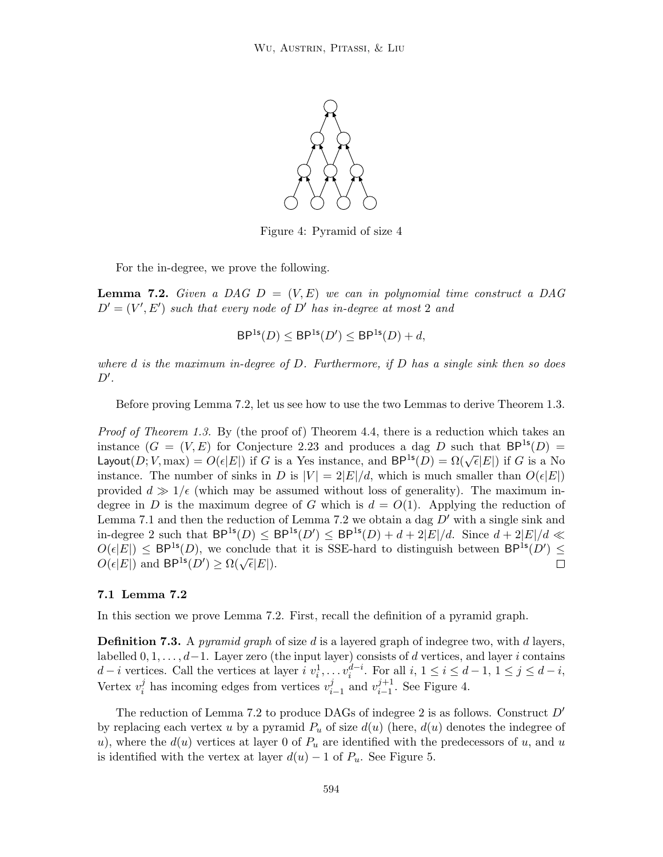

Figure 4: Pyramid of size 4

For the in-degree, we prove the following.

**Lemma 7.2.** Given a DAG  $D = (V, E)$  we can in polynomial time construct a DAG  $D' = (V', E')$  such that every node of D' has in-degree at most 2 and

 $BP^{1s}(D) \le BP^{1s}(D') \le BP^{1s}(D) + d,$ 

where  $d$  is the maximum in-degree of  $D$ . Furthermore, if  $D$  has a single sink then so does  $D^{\prime}$  .

Before proving Lemma 7.2, let us see how to use the two Lemmas to derive Theorem 1.3.

Proof of Theorem 1.3. By (the proof of) Theorem 4.4, there is a reduction which takes an instance  $(G = (V, E)$  for Conjecture 2.23 and produces a dag D such that  $BP^{1s}(D) =$ Layout(D; V, max) =  $O(\epsilon|E|)$  if G is a Yes instance, and  $BP^{1s}(D) = \Omega(\sqrt{\epsilon}|E|)$  if G is a No instance. The number of sinks in D is  $|V| = 2|E|/d$ , which is much smaller than  $O(\epsilon|E|)$ provided  $d \gg 1/\epsilon$  (which may be assumed without loss of generality). The maximum indegree in D is the maximum degree of G which is  $d = O(1)$ . Applying the reduction of Lemma 7.1 and then the reduction of Lemma 7.2 we obtain a dag  $D'$  with a single sink and in-degree 2 such that  $BP^{1s}(D) \le BP^{1s}(D') \le BP^{1s}(D) + d + 2|E|/d$ . Since  $d + 2|E|/d \ll$  $O(\epsilon|E|) \leq BP^{1s}(D)$ , we conclude that it is SSE-hard to distinguish between  $BP^{1s}(D') \leq$  $O(\epsilon|E|) \leq D\epsilon^{-1}(D)$ , we conclude  $O(\epsilon|E|)$  and  $BP^{1s}(D') \geq \Omega(\sqrt{\epsilon}|E|)$ .  $\Box$ 

## 7.1 Lemma 7.2

In this section we prove Lemma 7.2. First, recall the definition of a pyramid graph.

**Definition 7.3.** A *pyramid graph* of size d is a layered graph of indegree two, with d layers, labelled  $0, 1, \ldots, d-1$ . Layer zero (the input layer) consists of d vertices, and layer i contains  $d-i$  vertices. Call the vertices at layer  $i$   $v_i^1, \ldots v_i^{d-i}$ . For all  $i, 1 \le i \le d-1, 1 \le j \le d-i$ , Vertex  $v_i^j$  $i$  has incoming edges from vertices  $v_i^j$  $_{i-1}^j$  and  $v_{i-1}^{j+1}$  $i-1$ <sup>*i*+1</sup>. See Figure 4.

The reduction of Lemma 7.2 to produce DAGs of indegree 2 is as follows. Construct  $D'$ by replacing each vertex u by a pyramid  $P_u$  of size  $d(u)$  (here,  $d(u)$  denotes the indegree of u), where the  $d(u)$  vertices at layer 0 of  $P_u$  are identified with the predecessors of u, and u is identified with the vertex at layer  $d(u) - 1$  of  $P_u$ . See Figure 5.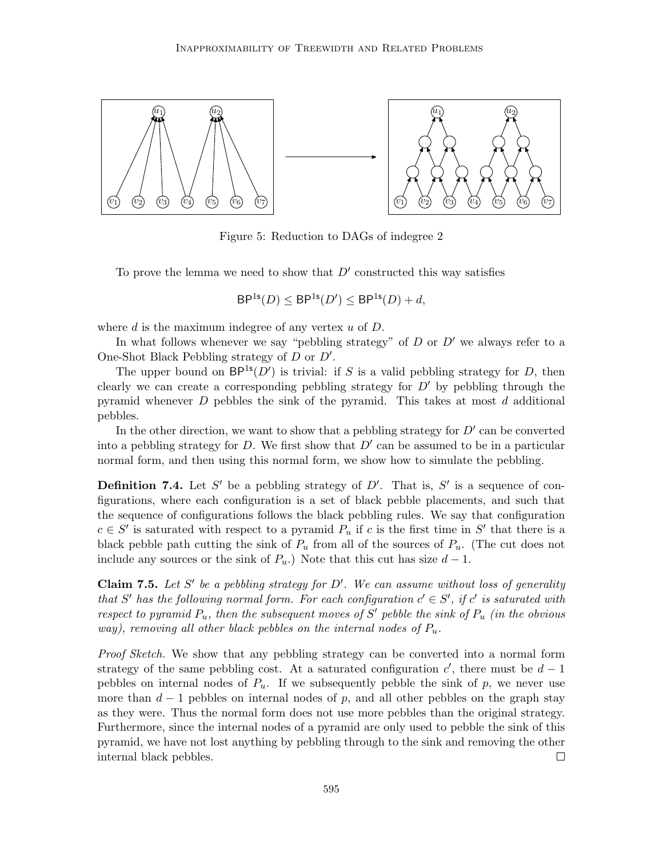

Figure 5: Reduction to DAGs of indegree 2

To prove the lemma we need to show that  $D'$  constructed this way satisfies

$$
\mathsf{BP}^{\mathsf{ls}}(D) \leq \mathsf{BP}^{\mathsf{ls}}(D') \leq \mathsf{BP}^{\mathsf{ls}}(D) + d,
$$

where  $d$  is the maximum indegree of any vertex  $u$  of  $D$ .

In what follows whenever we say "pebbling strategy" of  $D$  or  $D'$  we always refer to a One-Shot Black Pebbling strategy of  $D$  or  $D'$ .

The upper bound on  $BP^{1s}(D')$  is trivial: if S is a valid pebbling strategy for D, then clearly we can create a corresponding pebbling strategy for  $D'$  by pebbling through the pyramid whenever  $D$  pebbles the sink of the pyramid. This takes at most  $d$  additional pebbles.

In the other direction, we want to show that a pebbling strategy for  $D'$  can be converted into a pebbling strategy for  $D$ . We first show that  $D'$  can be assumed to be in a particular normal form, and then using this normal form, we show how to simulate the pebbling.

**Definition 7.4.** Let S' be a pebbling strategy of  $D'$ . That is, S' is a sequence of configurations, where each configuration is a set of black pebble placements, and such that the sequence of configurations follows the black pebbling rules. We say that configuration  $c \in S'$  is saturated with respect to a pyramid  $P_u$  if c is the first time in S' that there is a black pebble path cutting the sink of  $P_u$  from all of the sources of  $P_u$ . (The cut does not include any sources or the sink of  $P_u$ .) Note that this cut has size  $d-1$ .

**Claim 7.5.** Let S' be a pebbling strategy for  $D'$ . We can assume without loss of generality that S' has the following normal form. For each configuration  $c' \in S'$ , if  $c'$  is saturated with respect to pyramid  $P_u$ , then the subsequent moves of S' pebble the sink of  $P_u$  (in the obvious way), removing all other black pebbles on the internal nodes of  $P_u$ .

Proof Sketch. We show that any pebbling strategy can be converted into a normal form strategy of the same pebbling cost. At a saturated configuration  $c'$ , there must be  $d-1$ pebbles on internal nodes of  $P_u$ . If we subsequently pebble the sink of p, we never use more than  $d-1$  pebbles on internal nodes of p, and all other pebbles on the graph stay as they were. Thus the normal form does not use more pebbles than the original strategy. Furthermore, since the internal nodes of a pyramid are only used to pebble the sink of this pyramid, we have not lost anything by pebbling through to the sink and removing the other internal black pebbles.  $\Box$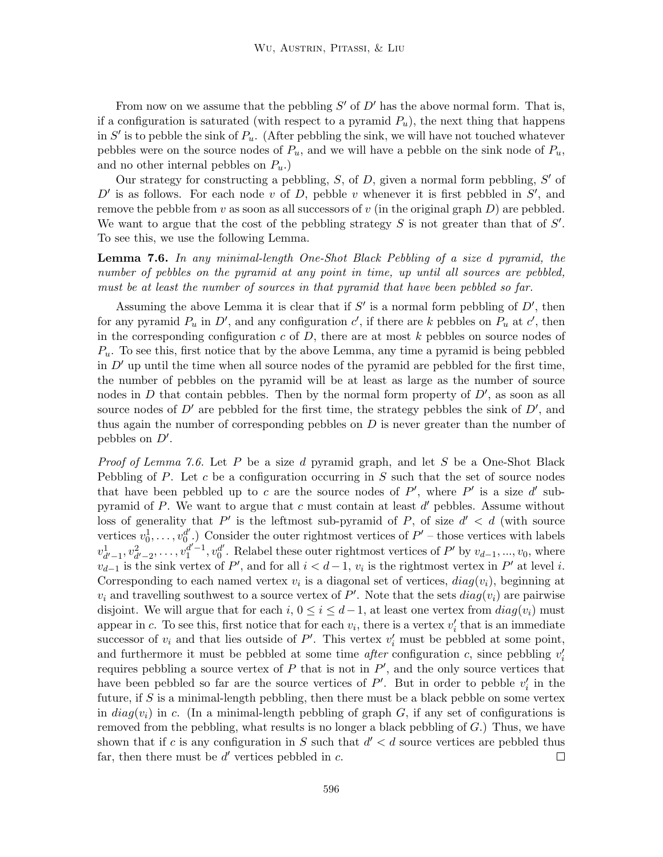From now on we assume that the pebbling  $S'$  of  $D'$  has the above normal form. That is, if a configuration is saturated (with respect to a pyramid  $P_u$ ), the next thing that happens in  $S'$  is to pebble the sink of  $P_u$ . (After pebbling the sink, we will have not touched whatever pebbles were on the source nodes of  $P_u$ , and we will have a pebble on the sink node of  $P_u$ , and no other internal pebbles on  $P_u$ .)

Our strategy for constructing a pebbling,  $S$ , of  $D$ , given a normal form pebbling,  $S'$  of  $D'$  is as follows. For each node v of D, pebble v whenever it is first pebbled in  $S'$ , and remove the pebble from v as soon as all successors of v (in the original graph  $D$ ) are pebbled. We want to argue that the cost of the pebbling strategy  $S$  is not greater than that of  $S'$ . To see this, we use the following Lemma.

Lemma 7.6. In any minimal-length One-Shot Black Pebbling of a size d pyramid, the number of pebbles on the pyramid at any point in time, up until all sources are pebbled, must be at least the number of sources in that pyramid that have been pebbled so far.

Assuming the above Lemma it is clear that if  $S'$  is a normal form pebbling of  $D'$ , then for any pyramid  $P_u$  in  $D'$ , and any configuration  $c'$ , if there are k pebbles on  $P_u$  at  $c'$ , then in the corresponding configuration c of  $D$ , there are at most k pebbles on source nodes of  $P_u$ . To see this, first notice that by the above Lemma, any time a pyramid is being pebbled in  $D'$  up until the time when all source nodes of the pyramid are pebbled for the first time, the number of pebbles on the pyramid will be at least as large as the number of source nodes in  $D$  that contain pebbles. Then by the normal form property of  $D'$ , as soon as all source nodes of  $D'$  are pebbled for the first time, the strategy pebbles the sink of  $D'$ , and thus again the number of corresponding pebbles on  $D$  is never greater than the number of pebbles on  $D'$ .

*Proof of Lemma 7.6.* Let P be a size d pyramid graph, and let S be a One-Shot Black Pebbling of  $P$ . Let  $c$  be a configuration occurring in  $S$  such that the set of source nodes that have been pebbled up to c are the source nodes of  $P'$ , where  $P'$  is a size d' subpyramid of  $P$ . We want to argue that  $c$  must contain at least  $d'$  pebbles. Assume without loss of generality that P' is the leftmost sub-pyramid of P, of size  $d' < d$  (with source vertices  $v_0^1, \ldots, v_0^{d'}$ . Consider the outer rightmost vertices of  $P'$  – those vertices with labels  $v_{d'-1}^1, v_{d'-2}^2, \ldots, v_1^{d'-1}, v_0^{d'}$ . Relabel these outer rightmost vertices of  $P'$  by  $v_{d-1}, \ldots, v_0$ , where  $v_{d-1}$  is the sink vertex of P', and for all  $i < d-1$ ,  $v_i$  is the rightmost vertex in P' at level i. Corresponding to each named vertex  $v_i$  is a diagonal set of vertices,  $diag(v_i)$ , beginning at  $v_i$  and travelling southwest to a source vertex of  $P'$ . Note that the sets  $diag(v_i)$  are pairwise disjoint. We will argue that for each i,  $0 \le i \le d-1$ , at least one vertex from  $diag(v_i)$  must appear in c. To see this, first notice that for each  $v_i$ , there is a vertex  $v'_i$  that is an immediate successor of  $v_i$  and that lies outside of  $P'$ . This vertex  $v'_i$  must be pebbled at some point, and furthermore it must be pebbled at some time *after* configuration c, since pebbling  $v_i'$ requires pebbling a source vertex of  $P$  that is not in  $P'$ , and the only source vertices that have been pebbled so far are the source vertices of  $P'$ . But in order to pebble  $v'_i$  in the future, if  $S$  is a minimal-length pebbling, then there must be a black pebble on some vertex in  $diag(v_i)$  in c. (In a minimal-length pebbling of graph G, if any set of configurations is removed from the pebbling, what results is no longer a black pebbling of  $G$ .) Thus, we have shown that if c is any configuration in S such that  $d' < d$  source vertices are pebbled thus far, then there must be  $d'$  vertices pebbled in  $c$ .  $\Box$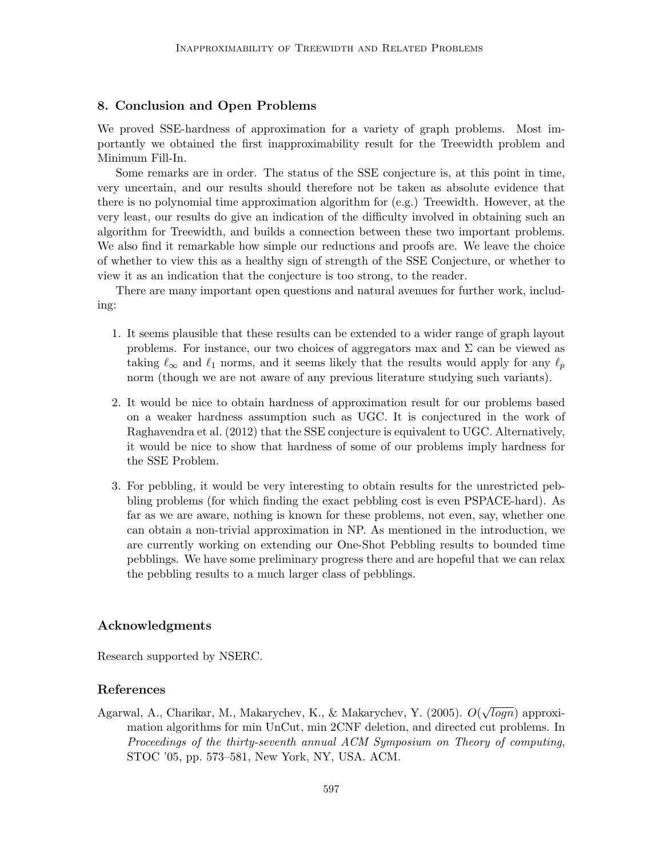## 8. Conclusion and Open Problems

We proved SSE-hardness of approximation for a variety of graph problems. Most importantly we obtained the first inapproximability result for the Treewidth problem and Minimum Fill-In.

Some remarks are in order. The status of the SSE conjecture is, at this point in time, very uncertain, and our results should therefore not be taken as absolute evidence that there is no polynomial time approximation algorithm for (e.g.) Treewidth. However, at the very least, our results do give an indication of the difficulty involved in obtaining such an algorithm for Treewidth, and builds a connection between these two important problems. We also find it remarkable how simple our reductions and proofs are. We leave the choice of whether to view this as a healthy sign of strength of the SSE Conjecture, or whether to view it as an indication that the conjecture is too strong, to the reader.

There are many important open questions and natural avenues for further work, including:

- 1. It seems plausible that these results can be extended to a wider range of graph layout problems. For instance, our two choices of aggregators max and  $\Sigma$  can be viewed as taking  $\ell_{\infty}$  and  $\ell_1$  norms, and it seems likely that the results would apply for any  $\ell_p$ norm (though we are not aware of any previous literature studying such variants).
- 2. It would be nice to obtain hardness of approximation result for our problems based on a weaker hardness assumption such as UGC. It is conjectured in the work of Raghavendra et al. (2012) that the SSE conjecture is equivalent to UGC. Alternatively, it would be nice to show that hardness of some of our problems imply hardness for the SSE Problem.
- 3. For pebbling, it would be very interesting to obtain results for the unrestricted pebbling problems (for which finding the exact pebbling cost is even PSPACE-hard). As far as we are aware, nothing is known for these problems, not even, say, whether one can obtain a non-trivial approximation in NP. As mentioned in the introduction, we are currently working on extending our One-Shot Pebbling results to bounded time pebblings. We have some preliminary progress there and are hopeful that we can relax the pebbling results to a much larger class of pebblings.

# Acknowledgments

Research supported by NSERC.

# References

Agarwal, A., Charikar, M., Makarychev, K., & Makarychev, Y. (2005). O( √ logn) approximation algorithms for min UnCut, min 2CNF deletion, and directed cut problems. In Proceedings of the thirty-seventh annual ACM Symposium on Theory of computing, STOC '05, pp. 573–581, New York, NY, USA. ACM.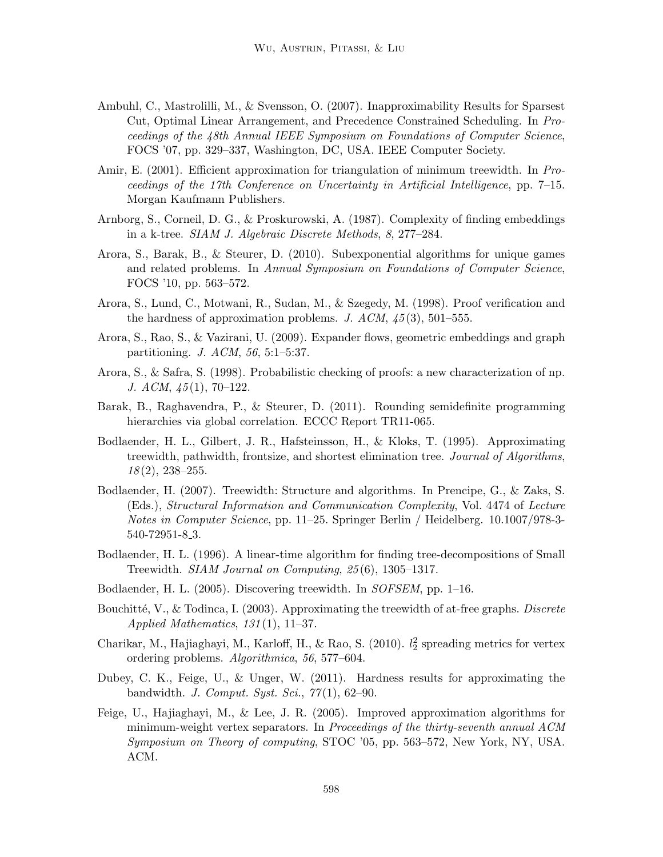- Ambuhl, C., Mastrolilli, M., & Svensson, O. (2007). Inapproximability Results for Sparsest Cut, Optimal Linear Arrangement, and Precedence Constrained Scheduling. In Proceedings of the 48th Annual IEEE Symposium on Foundations of Computer Science, FOCS '07, pp. 329–337, Washington, DC, USA. IEEE Computer Society.
- Amir, E. (2001). Efficient approximation for triangulation of minimum treewidth. In *Pro*ceedings of the 17th Conference on Uncertainty in Artificial Intelligence, pp. 7–15. Morgan Kaufmann Publishers.
- Arnborg, S., Corneil, D. G., & Proskurowski, A. (1987). Complexity of finding embeddings in a k-tree. SIAM J. Algebraic Discrete Methods, 8, 277–284.
- Arora, S., Barak, B., & Steurer, D. (2010). Subexponential algorithms for unique games and related problems. In Annual Symposium on Foundations of Computer Science, FOCS '10, pp. 563–572.
- Arora, S., Lund, C., Motwani, R., Sudan, M., & Szegedy, M. (1998). Proof verification and the hardness of approximation problems. J.  $ACM$ ,  $45(3)$ , 501–555.
- Arora, S., Rao, S., & Vazirani, U. (2009). Expander flows, geometric embeddings and graph partitioning. J. ACM, 56, 5:1–5:37.
- Arora, S., & Safra, S. (1998). Probabilistic checking of proofs: a new characterization of np. J.  $ACM$ ,  $45(1)$ , 70-122.
- Barak, B., Raghavendra, P., & Steurer, D. (2011). Rounding semidefinite programming hierarchies via global correlation. ECCC Report TR11-065.
- Bodlaender, H. L., Gilbert, J. R., Hafsteinsson, H., & Kloks, T. (1995). Approximating treewidth, pathwidth, frontsize, and shortest elimination tree. Journal of Algorithms,  $18(2)$ , 238-255.
- Bodlaender, H. (2007). Treewidth: Structure and algorithms. In Prencipe, G., & Zaks, S. (Eds.), Structural Information and Communication Complexity, Vol. 4474 of Lecture Notes in Computer Science, pp. 11–25. Springer Berlin / Heidelberg. 10.1007/978-3- 540-72951-8 3.
- Bodlaender, H. L. (1996). A linear-time algorithm for finding tree-decompositions of Small Treewidth. SIAM Journal on Computing, 25 (6), 1305–1317.
- Bodlaender, H. L. (2005). Discovering treewidth. In *SOFSEM*, pp. 1–16.
- Bouchitté, V., & Todinca, I. (2003). Approximating the treewidth of at-free graphs. Discrete Applied Mathematics,  $131(1)$ ,  $11-37$ .
- Charikar, M., Hajiaghayi, M., Karloff, H., & Rao, S. (2010).  $l_2^2$  spreading metrics for vertex ordering problems. Algorithmica, 56, 577–604.
- Dubey, C. K., Feige, U., & Unger, W. (2011). Hardness results for approximating the bandwidth. J. Comput. Syst. Sci.,  $77(1)$ , 62-90.
- Feige, U., Hajiaghayi, M., & Lee, J. R. (2005). Improved approximation algorithms for minimum-weight vertex separators. In Proceedings of the thirty-seventh annual ACM Symposium on Theory of computing, STOC '05, pp. 563–572, New York, NY, USA. ACM.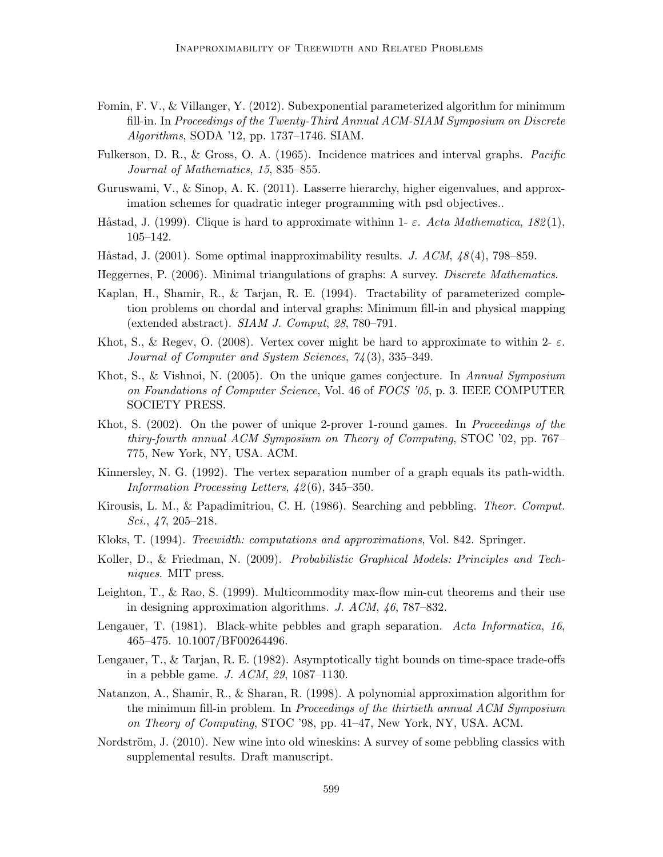- Fomin, F. V., & Villanger, Y. (2012). Subexponential parameterized algorithm for minimum fill-in. In Proceedings of the Twenty-Third Annual ACM-SIAM Symposium on Discrete Algorithms, SODA '12, pp. 1737–1746. SIAM.
- Fulkerson, D. R., & Gross, O. A. (1965). Incidence matrices and interval graphs. Pacific Journal of Mathematics, 15, 835–855.
- Guruswami, V., & Sinop, A. K. (2011). Lasserre hierarchy, higher eigenvalues, and approximation schemes for quadratic integer programming with psd objectives..
- Håstad, J. (1999). Clique is hard to approximate withinn 1-  $\varepsilon$ . Acta Mathematica, 182(1), 105–142.
- Håstad, J. (2001). Some optimal inapproximability results. J.  $ACM$ ,  $48(4)$ , 798–859.
- Heggernes, P. (2006). Minimal triangulations of graphs: A survey. Discrete Mathematics.
- Kaplan, H., Shamir, R., & Tarjan, R. E. (1994). Tractability of parameterized completion problems on chordal and interval graphs: Minimum fill-in and physical mapping (extended abstract). SIAM J. Comput, 28, 780–791.
- Khot, S., & Regev, O. (2008). Vertex cover might be hard to approximate to within 2- $\varepsilon$ . Journal of Computer and System Sciences, 74 (3), 335–349.
- Khot, S., & Vishnoi, N. (2005). On the unique games conjecture. In Annual Symposium on Foundations of Computer Science, Vol. 46 of FOCS '05, p. 3. IEEE COMPUTER SOCIETY PRESS.
- Khot, S. (2002). On the power of unique 2-prover 1-round games. In *Proceedings of the* thiry-fourth annual ACM Symposium on Theory of Computing, STOC '02, pp. 767– 775, New York, NY, USA. ACM.
- Kinnersley, N. G. (1992). The vertex separation number of a graph equals its path-width. Information Processing Letters, 42 (6), 345–350.
- Kirousis, L. M., & Papadimitriou, C. H. (1986). Searching and pebbling. Theor. Comput. Sci., 47, 205–218.
- Kloks, T. (1994). Treewidth: computations and approximations, Vol. 842. Springer.
- Koller, D., & Friedman, N. (2009). Probabilistic Graphical Models: Principles and Techniques. MIT press.
- Leighton, T., & Rao, S. (1999). Multicommodity max-flow min-cut theorems and their use in designing approximation algorithms. J. ACM, 46, 787–832.
- Lengauer, T. (1981). Black-white pebbles and graph separation. Acta Informatica, 16, 465–475. 10.1007/BF00264496.
- Lengauer, T., & Tarjan, R. E. (1982). Asymptotically tight bounds on time-space trade-offs in a pebble game. J. ACM, 29, 1087–1130.
- Natanzon, A., Shamir, R., & Sharan, R. (1998). A polynomial approximation algorithm for the minimum fill-in problem. In *Proceedings of the thirtieth annual ACM Symposium* on Theory of Computing, STOC '98, pp. 41–47, New York, NY, USA. ACM.
- Nordström, J. (2010). New wine into old wineskins: A survey of some pebbling classics with supplemental results. Draft manuscript.